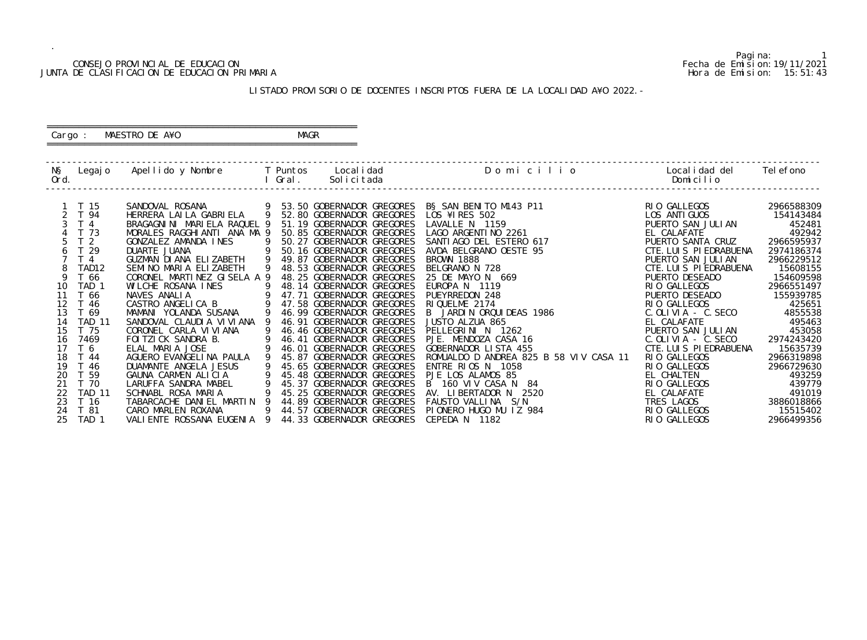### CONSEJO PROVINCIAL DE EDUCACION Fecha de Emision:19/11/2021 JUNTA DE CLASIFICACION DE EDUCACION PRIMARIA Hora de Emision: 15:51:43

 ========================================================== Cargo : MAESTRO DE A¥O **MAGR** 

# LISTADO PROVISORIO DE DOCENTES INSCRIPTOS FUERA DE LA LOCALIDAD A¥O 2022.-

==========================================================

| NŞ<br>Ord. | Legaj o           | Apellido y Nombre         T Puntos     Localidad |                | l Gral. | Solicitada                  | Domicilio                                                                                                                                                                                                                                            | Localidad del<br>Domicilio | Tel efono  |
|------------|-------------------|--------------------------------------------------|----------------|---------|-----------------------------|------------------------------------------------------------------------------------------------------------------------------------------------------------------------------------------------------------------------------------------------------|----------------------------|------------|
|            | T 15              | SANDOVAL ROSANA                                  |                |         | 9 53.50 GOBERNADOR GREGORES | B§ SAN BENITO M143 P11                                                                                                                                                                                                                               | RIO GALLEGOS               | 2966588309 |
|            | 2 T 94            | HERRERA LAILA GABRIELA 9                         |                |         | 52.80 GOBERNADOR GREGORES   | LOS ¥1 RES 502                                                                                                                                                                                                                                       | LOS ANTI GUOS              | 154143484  |
|            | T <sub>4</sub>    | BRAGAGNINI MARIELA RAQUEL 9                      |                |         | 51.19 GOBERNADOR GREGORES   | LAVALLE N 1159                                                                                                                                                                                                                                       | PUERTO SAN JULIAN          | 452481     |
|            | T 73              | MORALES RAGGHIANTI ANA MA 9                      |                |         | 50.85 GOBERNADOR GREGORES   | LAGO ARGENTINO 2261                                                                                                                                                                                                                                  | EL CALAFATE                | 492942     |
| 5          | T <sub>2</sub>    | GONZALEZ AMANDA INES                             | - 9            |         | 50.27 GOBERNADOR GREGORES   | SANTI AGO DEL ESTERO 617                                                                                                                                                                                                                             | PUERTO SANTA CRUZ          | 2966595937 |
| 6          | T 29              | DUARTE JUANA                                     |                |         | 50.16 GOBERNADOR GREGORES   | AVDA BELGRANO OESTE 95                                                                                                                                                                                                                               | CTE. LUIS PIEDRABUENA      | 2974186374 |
|            | T <sub>4</sub>    | GUZMAN DI ANA ELIZABETH                          | $\overline{9}$ |         | 49.87 GOBERNADOR GREGORES   |                                                                                                                                                                                                                                                      | PUERTO SAN JULIAN          | 2966229512 |
|            | TAD <sub>12</sub> | SEMINO MARIA ELIZABETH                           |                |         | 48.53 GOBERNADOR GREGORES   |                                                                                                                                                                                                                                                      | CTE. LUIS PIEDRABUENA      | 15608155   |
| 9          | T 66              | CORONEL MARTINEZ GISELA A 9                      |                |         | 48.25 GOBERNADOR GREGORES   | ES BROWN 1888<br>S BELGRANO N 728<br>S 25 DE MAYO N 669<br>S EUROPA N 1119<br>PUEYRREDON 248<br>RIQUELME 2174<br>B JARDIN ORQUIDEAS 1986<br>JUSTO ALZUA 865<br>PELLEGRINI N 1262<br>PJE. MENDOZA CASA 16<br>GOBERNADOR LISTA 455<br>OMUALDO D ANDREA | PUERTO DESEADO             | 154609598  |
| 10         | TAD <sub>1</sub>  | WILCHE ROSANA INES                               |                |         | 48.14 GOBERNADOR GREGORES   |                                                                                                                                                                                                                                                      | RIO GALLEGOS               | 2966551497 |
| 11         | T 66              | $\sim$ 9<br>NAVES ANALIA                         |                |         | 47.71 GOBERNADOR GREGORES   |                                                                                                                                                                                                                                                      | PUERTO DESEADO             | 155939785  |
| 12         | T 46              | CASTRO ANGELICA B                                |                |         | 47.58 GOBERNADOR GREGORES   |                                                                                                                                                                                                                                                      | RIO GALLEGOS               | 425651     |
| 13         | T 69              | MAMANI YOLANDA SUSANA                            |                |         | 46.99 GOBERNADOR GREGORES   |                                                                                                                                                                                                                                                      | C. OLI VI A - C. SECO      | 4855538    |
| 14         | <b>TAD 11</b>     | SANDOVAL CLAUDIA VI VI ANA                       |                |         | 46.91 GOBERNADOR GREGORES   |                                                                                                                                                                                                                                                      | EL CALAFATE                | 495463     |
| 15         | T 75              | CORONEL CARLA VI VI ANA                          |                |         | 46.46 GOBERNADOR GREGORES   |                                                                                                                                                                                                                                                      | PUERTO SAN JULIAN          | 453058     |
| 16         | 7469              | FOI TZI CK SANDRA B.                             |                |         | 46.41 GOBERNADOR GREGORES   |                                                                                                                                                                                                                                                      | C. OLI VI A - C. SECO      | 2974243420 |
| 17         | T 6               | ELAL MARIA JOSE                                  |                |         | 46.01 GOBERNADOR GREGORES   |                                                                                                                                                                                                                                                      | CTE. LUIS PIEDRABUENA      | 15635739   |
| 18         | T 44              | AGUERO EVANGELINA PAULA                          |                |         | 45.87 GOBERNADOR GREGORES   | ROMUALDO D ANDREA 825 B 58 VIV CASA 11                                                                                                                                                                                                               | RIO GALLEGOS               | 2966319898 |
| 19         | T 46              | DUAMANTE ANGELA JESUS                            |                |         | 45.65 GOBERNADOR GREGORES   | ENTRE RIOS N 1058                                                                                                                                                                                                                                    | RIO GALLEGOS               | 2966729630 |
| 20         | T 59              | GAUNA CARMEN ALICIA                              |                |         | 45.48 GOBERNADOR GREGORES   | PJE LOS ALAMOS 85                                                                                                                                                                                                                                    | EL CHALTEN                 | 493259     |
| 21         | T 70              | LARUFFA SANDRA MABEL                             | - 9            |         | 45.37 GOBERNADOR GREGORES   | B 160 VIV CASA N 84                                                                                                                                                                                                                                  | RIO GALLEGOS               | 439779     |
| 22         | <b>TAD 11</b>     | SCHNABL ROSA MARIA                               |                |         | 45.25 GOBERNADOR GREGORES   | AV. LIBERTADOR N<br>2520                                                                                                                                                                                                                             | EL CALAFATE                | 491019     |
| 23         | T 16              | TABARCACHE DANIEL MARTIN 9                       |                |         | 44.89 GOBERNADOR GREGORES   | FAUSTO VALLINA S/N                                                                                                                                                                                                                                   | TRES LAGOS                 | 3886018866 |
| 24         | T 81              | CARO MARLEN ROXANA                               | 9              |         | 44.57 GOBERNADOR GREGORES   | PIONERO HUGO MU IZ 984                                                                                                                                                                                                                               | RIO GALLEGOS               | 15515402   |
| 25         | TAD <sub>1</sub>  | VALIENTE ROSSANA EUGENIA 9                       |                |         | 44.33 GOBERNADOR GREGORES   | CEPEDA N 1182                                                                                                                                                                                                                                        | RIO GALLEGOS               | 2966499356 |
|            |                   |                                                  |                |         |                             |                                                                                                                                                                                                                                                      |                            |            |

Pagina: 1<br>Fecha de Emision: 19/11/2021<br>Hora de Emision: 15: 51: 43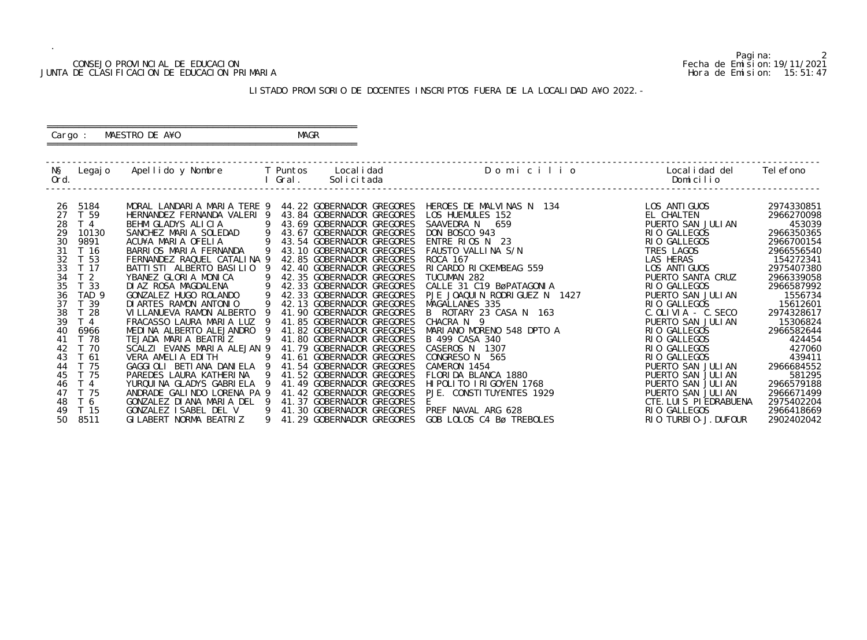### CONSEJO PROVINCIAL DE EDUCACION Fecha de Emision:19/11/2021 JUNTA DE CLASIFICACION DE EDUCACION PRIMARIA Hora de Emision: 15:51:47

 ========================================================== Cargo : MAESTRO DE A¥O **MAGR** 

# LISTADO PROVISORIO DE DOCENTES INSCRIPTOS FUERA DE LA LOCALIDAD A¥O 2022.-

==========================================================

| NŞ<br>Ord. | Legaj o          | Apellido y Nombre     T Puntos                  |     | l Gral. | Local i dad<br>Solicitada                              | Domicilio                      | Local i dad del<br>Domicilio      | Tel efono            |
|------------|------------------|-------------------------------------------------|-----|---------|--------------------------------------------------------|--------------------------------|-----------------------------------|----------------------|
| 26         | 5184             | MORAL LANDARIA MARIA TERE 9                     |     |         | 44.22 GOBERNADOR GREGORES                              | HEROES DE MALVINAS N 134       | LOS ANTI GUOS                     | 2974330851           |
| 27         | T 59             | HERNANDEZ FERNANDA VALERI 9                     |     |         | 43.84 GOBERNADOR GREGORES                              | LOS HUEMULES 152               | EL CHALTEN                        | 2966270098           |
| 28         | T <sub>4</sub>   | BEHM GLADYS ALICIA                              | -9  |         | 43.69 GOBERNADOR GREGORES                              | SAAVEDRA N 659                 | PUERTO SAN JULIAN                 | 453039               |
| 29         | 10130            | SANCHEZ MARIA SOLEDAD<br>$\overline{9}$         |     |         | 43.67 GOBERNADOR GREGORES                              | DON BOSCO 943                  | RIO GALLEGOS                      | 2966350365           |
| 30         | 9891             | ACU¥A MARIA OFELIA                              | 9   |         | 43.54 GOBERNADOR GREGORES                              | ENTRE RIOS N 23                | RIO GALLEGOS                      | 2966700154           |
| 31         | T 16             | BARRIOS MARIA FERNANDA                          |     |         | 43.10 GOBERNADOR GREGORES                              | FAUSTO VALLINA S/N             | TRES LAGOS                        | 2966556540           |
| 32         | T 53             | FERNANDEZ RAQUEL CATALINA 9                     |     |         | 42.85 GOBERNADOR GREGORES                              | ROCA 167                       | LAS HERAS                         | 154272341            |
| 33         | T 17             | BATTI STI ALBERTO BASILIO 9                     |     |         | 42.40 GOBERNADOR GREGORES                              | RI CARDO RI CKEMBEAG 559       | LOS ANTI GUOS                     | 2975407380           |
| 34         | T <sub>2</sub>   | YBANEZ GLORIA MONICA                            | 9   |         | 42.35 GOBERNADOR GREGORES                              | TUCUMAN 282                    | PUERTO SANTA CRUZ                 | 2966339058           |
| 35         | T 33             | DIAZ ROSA MAGDALENA                             | 9   |         | 42.33 GOBERNADOR GREGORES                              | CALLE 31 C19 BøPATAGONIA       | RIO GALLEGOS                      | 2966587992           |
| 36         | TAD <sub>9</sub> | GONZALEZ HUGO ROLANDO                           | 9   |         | 42.33 GOBERNADOR GREGORES                              | PJE JOAQUIN RODRIGUEZ N 1427   | PUERTO SAN JULIAN                 | 1556734              |
| 37         | T 39             | DI ARTES RAMON ANTONIO                          | 9   |         | 42.13 GOBERNADOR GREGORES                              | MAGALLANES 335                 | RIO GALLEGOS                      | 15612601             |
| 38         | T 28             | VILLANUEVA RAMON ALBERTO                        |     |         | 41.90 GOBERNADOR GREGORES                              | B ROTARY 23 CASA N 163         | $C.$ OLIVIA - $C.$ SECO           | 2974328617           |
| 39         | T <sub>4</sub>   | FRACASSO LAURA MARIA LUZ                        |     |         | 41.85 GOBERNADOR GREGORES                              | CHACRA N 9                     | PUERTO SAN JULIAN                 | 15306824             |
| 40         | 6966             | MEDINA ALBERTO ALEJANDRO                        | - Q |         | 41.82 GOBERNADOR GREGORES                              | MARIANO MORENO 548 DPTO A      | RIO GALLEGOS                      | 2966582644           |
| 41         | T 78             | TEJADA MARIA BEATRIZ                            | 9   |         | 41.80 GOBERNADOR GREGORES                              | B 499 CASA 340                 | RIO GALLEGOS                      | 424454               |
| 42         | T 70             | SCALZI EVANS MARIA ALEJAN 9                     |     |         | 41.79 GOBERNADOR GREGORES                              | CASEROS N 1307                 | RIO GALLEGOS                      | 427060               |
| 43<br>44   | T 61<br>T 75     | VERA AMELIA EDITH<br>GAGGIOLI BETIANA DANIELA 9 |     |         | 41.61 GOBERNADOR GREGORES<br>41.54 GOBERNADOR GREGORES | CONGRESO N 565<br>CAMERON 1454 | RIO GALLEGOS<br>PUERTO SAN JULIAN | 439411<br>2966684552 |
| 45         | T 75             | PAREDES LAURA KATHERINA                         |     |         | 41.52 GOBERNADOR GREGORES                              | FLORIDA BLANCA 1880            | PUERTO SAN JULIAN                 | 581295               |
| 46         | T <sub>4</sub>   | YURQUINA GLADYS GABRIELA 9                      |     |         | 41.49 GOBERNADOR GREGORES                              | HI POLITO I RI GOYEN 1768      | PUERTO SAN JULIAN                 | 2966579188           |
| 47         | T 75             | ANDRADE GALINDO LORENA PA 9                     |     |         | 41.42 GOBERNADOR GREGORES                              | PJE. CONSTITUYENTES 1929       | PUERTO SAN JULIAN                 | 2966671499           |
| 48         | T 6              | GONZALEZ DIANA MARIA DEL 9                      |     |         | 41.37 GOBERNADOR GREGORES                              |                                | CTE. LUIS PIEDRABUENA             | 2975402204           |
| 49         | T 15             | GONZALEZ ISABEL DEL V                           | 9   |         | 41.30 GOBERNADOR GREGORES                              | PREF NAVAL ARG 628             | RIO GALLEGOS                      | 2966418669           |
| 50         | 8511             | GI LABERT NORMA BEATRIZ                         | 9   |         | 41.29 GOBERNADOR GREGORES                              | GOB LOLOS C4 Bø TREBOLES       | RIO TURBIO-J. DUFOUR              | 2902402042           |
|            |                  |                                                 |     |         |                                                        |                                |                                   |                      |

Pagina: 2<br>Fecha de Emision: 19/11/2021<br>Hora de Emision: 15: 51: 47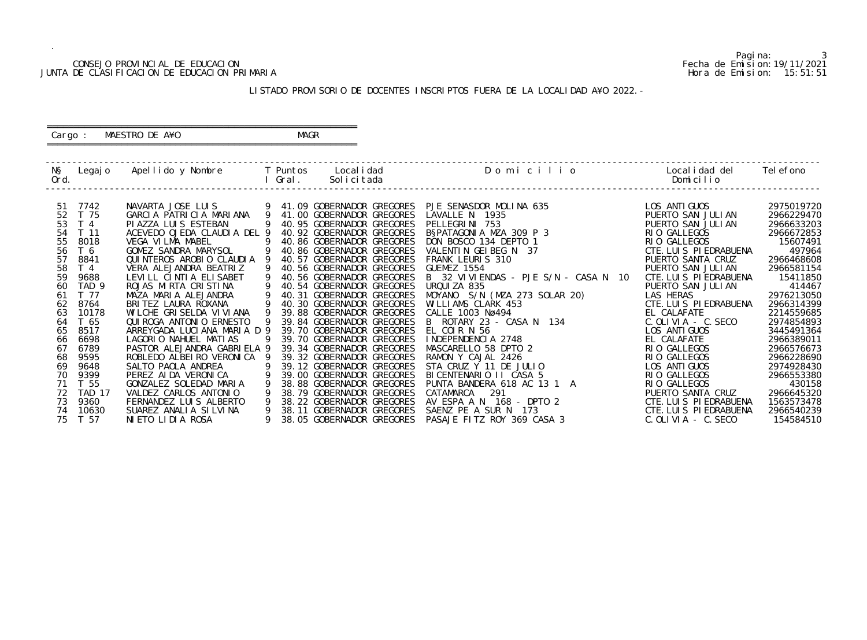### CONSEJO PROVINCIAL DE EDUCACION Fecha de Emision:19/11/2021 JUNTA DE CLASIFICACION DE EDUCACION PRIMARIA Hora de Emision: 15:51:51

 ========================================================== Cargo : MAESTRO DE A¥O **MAGR** 

# LISTADO PROVISORIO DE DOCENTES INSCRIPTOS FUERA DE LA LOCALIDAD A¥O 2022.-

==========================================================

| NŞ<br>Ord. |                  | Legajo Apellido y Nombre T Puntos |   | Local i dad<br>I Gral.<br>Solicitada | Domicilio                                           | Local i dad del<br>Domicilio | Tel efono  |
|------------|------------------|-----------------------------------|---|--------------------------------------|-----------------------------------------------------|------------------------------|------------|
|            |                  |                                   |   |                                      |                                                     |                              |            |
| -51        | 7742             | NAVARTA JOSE LUIS                 |   | 9 41.09 GOBERNADOR GREGORES          | PJE SENASDOR MOLINA 635                             | LOS ANTI GUOS                | 2975019720 |
| 52         | T 75             | GARCIA PATRICIA MARIANA 9         |   | 41.00 GOBERNADOR GREGORES            | LAVALLE N 1935                                      | PUERTO SAN JULIAN            | 2966229470 |
| 53         | T <sub>4</sub>   | PI AZZA LUI S ESTEBAN             | 9 | 40.95 GOBERNADOR GREGORES            | PELLEGRINI 753                                      | PUERTO SAN JULIAN            | 2966633203 |
| 54         | T 11             | ACEVEDO OJEDA CLAUDIA DEL 9       |   | 40.92 GOBERNADOR GREGORES            | BSPATAGONIA MZA 309 P 3                             | RIO GALLEGOS                 | 2966672853 |
| 55         | 8018             | VEGA VILMA MABEL                  |   | 40.86 GOBERNADOR GREGORES            | DON BOSCO 134 DEPTO 1                               | RIO GALLEGOS                 | 15607491   |
| 56         | T 6              | GOMEZ SANDRA MARYSOL              |   | 40.86 GOBERNADOR GREGORES            | VALENTIN GEIBEG N 37                                | CTE. LUIS PIEDRABUENA        | 497964     |
| 57         | 8841             | QUINTEROS AROBIO CLAUDIA          |   | 40.57 GOBERNADOR GREGORES            | FRANK LEURIS 310                                    | PUERTO SANTA CRUZ            | 2966468608 |
| 58         | T <sub>4</sub>   | VERA ALEJANDRA BEATRIZ            |   | 40.56 GOBERNADOR GREGORES            | GUEMEZ 1554                                         | PUERTO SAN JULIAN            | 2966581154 |
| 59         | 9688             | LEVILL CINTIA ELISABET            |   | 40.56 GOBERNADOR GREGORES            | B 32 VIVIENDAS - PJE S/N - CASA N 10                | CTE. LUIS PIEDRABUENA        | 15411850   |
| 60         | TAD <sub>9</sub> | ROJAS MIRTA CRISTINA              |   | 40.54 GOBERNADOR GREGORES            | URQUIZA 835                                         | PUERTO SAN JULIAN            | 414467     |
| 61         | T 77             | MAZA MARIA ALEJANDRA              |   | 40.31 GOBERNADOR GREGORES            |                                                     | LAS HERAS                    | 2976213050 |
| 62         | 8764             | BRITEZ LAURA ROXANA               |   | 40.30 GOBERNADOR GREGORES            | MOYANO S/N (MZA 273 SOLAR 20)<br>WILLIAMS CLARK 453 | CTE. LUIS PIEDRABUENA        | 2966314399 |
| 63         | 10178            | WILCHE GRISELDA VIVIANA           |   | 39.88 GOBERNADOR GREGORES            | CALLE 1003 Nø494<br>B ROTARY 23 - CASA N 134        | EL CALAFATE                  | 2214559685 |
| 64         | T 65             | QUI ROGA ANTONI O ERNESTO         |   | 39.84 GOBERNADOR GREGORES            |                                                     | $C.$ OLIVIA - $C.$ SECO      | 2974854893 |
| 65         | 8517             | ARREYGADA LUCIANA MARIA D 9       |   | 39.70 GOBERNADOR GREGORES            | EL COIR N 56                                        | LOS ANTI GUOS                | 3445491364 |
| 66         | 6698             | LAGORIO NAHUEL MATIAS             |   | 39.70 GOBERNADOR GREGORES            | INDEPENDENCIA 2748                                  | EL CALAFATE                  | 2966389011 |
| 67         | 6789             | PASTOR ALEJANDRA GABRIELA 9       |   | 39.34 GOBERNADOR GREGORES            | MASCARELLO 58 DPTO 2                                | RIO GALLEGOS                 | 2966576673 |
| 68         | 9595             | ROBLEDO ALBEIRO VERONICA          |   | 39.32 GOBERNADOR GREGORES            | RAMON Y CAJAL 2426                                  | RIO GALLEGOS                 | 2966228690 |
| 69         | 9648             | SALTO PAOLA ANDREA                |   | 39.12 GOBERNADOR GREGORES            | STA CRUZ Y 11 DE JULIO                              | LOS ANTI GUOS                | 2974928430 |
| 70         | 9399             | PEREZ AI DA VERONI CA             |   | 39.00 GOBERNADOR GREGORES            | BICENTENARIO II CASA 5                              | RIO GALLEGOS                 | 2966553380 |
| 71         | T 55             | GONZALEZ SOLEDAD MARIA            |   | 38.88 GOBERNADOR GREGORES            | PUNTA BANDERA 618 AC 13 1 A                         | RIO GALLEGOS                 | 430158     |
| 72         | <b>TAD 17</b>    | VALDEZ CARLOS ANTONIO             |   | 38.79 GOBERNADOR GREGORES            | 291<br>CATAMARCA                                    | PUERTO SANTA CRUZ            | 2966645320 |
| 73         | 9360             | FERNANDEZ LUIS ALBERTO            |   | 38.22 GOBERNADOR GREGORES            | AV ESPA A N 168 - DPTO 2                            | CTE. LUIS PIEDRABUENA        | 1563573478 |
| 74         | 10630            | SUAREZ ANALIA SILVINA             |   | 38.11 GOBERNADOR GREGORES            | SAENZ PE A SUR N 173                                | CTE. LUIS PIEDRABUENA        | 2966540239 |
| 75         | T 57             | NIETO LIDIA ROSA                  |   | 38.05 GOBERNADOR GREGORES            | PASAJE FITZ ROY 369 CASA 3                          | $C.$ OLIVIA - $C.$ SECO      | 154584510  |

Pagina: 3<br>Fecha de Emision: 19/11/2021<br>Hora de Emision: 15: 51: 51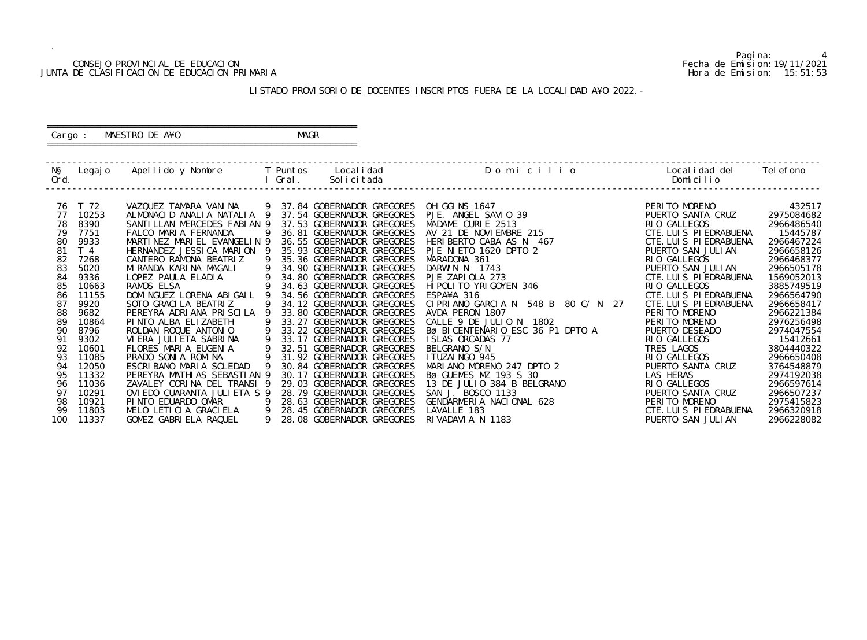### CONSEJO PROVINCIAL DE EDUCACION Fecha de Emision:19/11/2021 JUNTA DE CLASIFICACION DE EDUCACION PRIMARIA Hora de Emision: 15:51:53

 ========================================================== Cargo : MAESTRO DE A¥O **MAGR** 

# LISTADO PROVISORIO DE DOCENTES INSCRIPTOS FUERA DE LA LOCALIDAD A¥O 2022.-

==========================================================

| PERITO MORENO<br>T 72<br>VAZQUEZ TAMARA VANINA<br>9 37.84 GOBERNADOR GREGORES<br>76<br>OHIGGINS 1647<br>PJE. ANGEL SAVIO 39<br>MADAME CURIE 2513<br>AV 21 DE NOVIEMBRE 215<br>HERIBERTO CABA AS N 467<br>PJE NIETO 1620 DPTO 2<br>MARADONA 361<br>DARWIN N 1743<br>PJE ZAPIOLA 273<br>HIPOLITO YRIGOYEN 346<br>ESPA¥A 316<br>10253<br>ALMONACID ANALIA NATALIA 9<br>PUERTO SANTA CRUZ<br>37.54 GOBERNADOR GREGORES<br>77<br>78<br>8390<br>SANTILLAN MERCEDES FABIAN 9<br>37.53 GOBERNADOR GREGORES<br>RIO GALLEGOS<br>79<br>7751<br>CTE. LUIS PIEDRABUENA<br>FALCO MARIA FERNANDA<br>-9<br>36.81 GOBERNADOR GREGORES<br>9933<br>MARTINEZ MARIEL EVANGELIN 9<br>CTE. LUIS PIEDRABUENA<br>80<br>36.55 GOBERNADOR GREGORES<br>81<br>T <sub>4</sub><br>HERNANDEZ JESSICA MARION 9<br>35.93 GOBERNADOR GREGORES<br>PUERTO SAN JULIAN<br>82<br>- 9<br>35.36 GOBERNADOR GREGORES<br>RIO GALLEGOS<br>7268<br>CANTERO RAMONA BEATRIZ<br>83<br>5020<br>$\overline{9}$<br>MIRANDA KARINA MAGALI<br>34.90 GOBERNADOR GREGORES<br>PUERTO SAN JULIAN<br>9336<br>84<br>34.80 GOBERNADOR GREGORES<br>CTE. LUIS PIEDRABUENA<br>RIO GALLEGOS<br>85<br>10663<br>34.63 GOBERNADOR GREGORES<br>DOMINGUEZ LORENA ABIGAIL 9<br>CTE. LUIS PIEDRABUENA<br>86<br>11155<br>34.56 GOBERNADOR GREGORES<br>CIPRIANO GARCIA N 548 B 80 C/N 27<br>87<br>9920<br>-9<br>34.12 GOBERNADOR GREGORES<br>CTE. LUIS PIEDRABUENA<br>SOTO GRACILA BEATRIZ<br>9682<br>88<br>PEREYRA ADRIANA PRISCILA 9<br>33.80 GOBERNADOR GREGORES<br>AVDA PERON 1807<br>PERITO MORENO<br>CALLE 9 DE JULIO N 1802<br>Bø BICENTENARIO ESC 36 P1 DPTO A<br>PINTO ALBA ELIZABETH<br>PERITO MORENO<br>89<br>10864<br>9<br>33.27 GOBERNADOR GREGORES<br>8796<br>ROLDAN ROQUE ANTONIO<br>$\overline{9}$<br>33.22 GOBERNADOR GREGORES<br>PUERTO DESEADO<br>90<br>$\overline{9}$<br>33.17 GOBERNADOR GREGORES<br>RIO GALLEGOS<br>91<br>9302<br>VI ERA JULI ETA SABRI NA<br>9<br>92<br>FLORES MARIA EUGENIA<br>32.51 GOBERNADOR GREGORES<br>TRES LAGOS<br>10601<br>PRADO SONIA ROMINA 9<br>11085<br>31.92 GOBERNADOR GREGORES<br>RIO GALLEGOS<br>93<br>PUERTO SANTA CRUZ<br>94<br>12050<br>ESCRIBANO MARIA SOLEDAD<br>30.84 GOBERNADOR GREGORES<br>95<br>11332<br>PEREYRA MATHI AS SEBASTI AN 9<br>30.17 GOBERNADOR GREGORES<br>LAS HERAS<br>11036<br>ZAVALEY CORINA DEL TRANSI 9<br>29.03 GOBERNADOR GREGORES<br>RIO GALLEGOS<br>96 |  |  |  |                                                                                                                                                                                                                                                              |                                                                                                                                                                                                                                                                                                                                      |
|--------------------------------------------------------------------------------------------------------------------------------------------------------------------------------------------------------------------------------------------------------------------------------------------------------------------------------------------------------------------------------------------------------------------------------------------------------------------------------------------------------------------------------------------------------------------------------------------------------------------------------------------------------------------------------------------------------------------------------------------------------------------------------------------------------------------------------------------------------------------------------------------------------------------------------------------------------------------------------------------------------------------------------------------------------------------------------------------------------------------------------------------------------------------------------------------------------------------------------------------------------------------------------------------------------------------------------------------------------------------------------------------------------------------------------------------------------------------------------------------------------------------------------------------------------------------------------------------------------------------------------------------------------------------------------------------------------------------------------------------------------------------------------------------------------------------------------------------------------------------------------------------------------------------------------------------------------------------------------------------------------------------------------------------------------------------------------------------------------------------------------------------------------------------------------------------------------------------------------------------------------------------------------------------------------------------------------------------------------------------|--|--|--|--------------------------------------------------------------------------------------------------------------------------------------------------------------------------------------------------------------------------------------------------------------|--------------------------------------------------------------------------------------------------------------------------------------------------------------------------------------------------------------------------------------------------------------------------------------------------------------------------------------|
| 97<br>10291<br>OVIEDO CUARANTA JULIETA S 9<br>28.79 GOBERNADOR GREGORES<br>PUERTO SANTA CRUZ<br>$\overline{9}$<br>PERITO MORENO<br>98<br>10921<br>PINTO EDUARDO OMAR<br>28.63 GOBERNADOR GREGORES<br>MELO LETICIA GRACIELA 9<br>99<br>11803<br>28.45 GOBERNADOR GREGORES<br>CTE. LUIS PIEDRABUENA                                                                                                                                                                                                                                                                                                                                                                                                                                                                                                                                                                                                                                                                                                                                                                                                                                                                                                                                                                                                                                                                                                                                                                                                                                                                                                                                                                                                                                                                                                                                                                                                                                                                                                                                                                                                                                                                                                                                                                                                                                                                  |  |  |  | BØ BICENTENARTO ESC 36 PT DPTO A<br>ISLAS ORCADAS 77<br>BELGRANO S/N<br>ITUZAINGO 945<br>MARIANO MORENO 247 DPTO 2<br>BØ GUEMES MZ 193 S 30<br>13 DE JULIO 384 B BELGRANO<br>SAN J. BOSCO 1133<br>GENDARMERIA NACIONAL 628<br>LAVALLE 183<br>RIVADAVIA N 118 | 432517<br>2975084682<br>2966486540<br>15445787<br>2966467224<br>2966658126<br>2966468377<br>2966505178<br>1569052013<br>3885749519<br>2966564790<br>2966658417<br>2966221384<br>2976256498<br>2974047554<br>15412661<br>3804440322<br>2966650408<br>3764548879<br>2974192038<br>2966597614<br>2966507237<br>2975415823<br>2966320918 |

Pagina: 4<br>Fecha de Emision: 19/11/2021<br>Hora de Emision: 15: 51: 53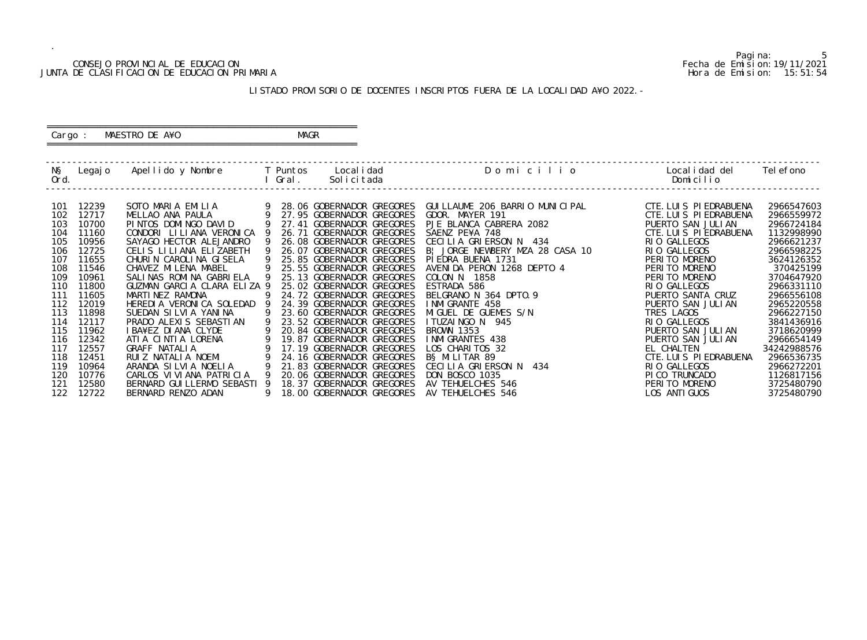### CONSEJO PROVINCIAL DE EDUCACION Fecha de Emision:19/11/2021 JUNTA DE CLASIFICACION DE EDUCACION PRIMARIA Hora de Emision: 15:51:54

 ========================================================== Cargo : MAESTRO DE A¥O **MAGR** 

# LISTADO PROVISORIO DE DOCENTES INSCRIPTOS FUERA DE LA LOCALIDAD A¥O 2022.-

==========================================================

| NŞ<br>Ord. | Legaj o | Apellido y Nombre           |   | Local i dad<br>T Puntos<br>Gral.<br>Solicitada | Domicilio                       | Local i dad del<br>Domicilio | Tel efono   |
|------------|---------|-----------------------------|---|------------------------------------------------|---------------------------------|------------------------------|-------------|
| 101        | 12239   | SOTO MARIA EMILIA           |   | 28.06 GOBERNADOR GREGORES                      | GUI LLAUME 206 BARRIO MUNICIPAL | CTE. LUIS PIEDRABUENA        | 2966547603  |
| 102        | 12717   | MELLAO ANA PAULA            | 9 | 27.95 GOBERNADOR GREGORES                      | GDOR. MAYER 191                 | CTE. LUIS PIEDRABUENA        | 2966559972  |
| 103        | 10700   | PINTOS DOMINGO DAVID        |   | 27.41 GOBERNADOR GREGORES                      | PJE BLANCA CABRERA 2082         | PUERTO SAN JULIAN            | 2966724184  |
| 104        | 11160   | CONDORI LILIANA VERONICA    |   | 26.71 GOBERNADOR GREGORES                      | SAENZ PE¥A 748                  | CTE. LUIS PIEDRABUENA        | 1132998990  |
| 105        | 10956   | SAYAGO HECTOR ALEJANDRO     |   | 26.08 GOBERNADOR GREGORES                      | CECILIA GRIERSON N 434          | RIO GALLEGOS                 | 2966621237  |
| 106        | 12725   | CELIS LILIANA ELIZABETH     |   | 26.07 GOBERNADOR GREGORES                      | B! JORGE NEWBERY MZA 28 CASA 10 | RIO GALLEGOS                 | 2966598225  |
| 107        | 11655   | CHURIN CAROLINA GISELA      |   | 25.85 GOBERNADOR GREGORES                      | PIEDRA BUENA 1731               | PERITO MORENO                | 3624126352  |
| 108        | 11546   | CHAVEZ MILENA MABEL         |   | 25.55 GOBERNADOR GREGORES                      | AVENIDA PERON 1268 DEPTO 4      | PERITO MORENO                | 370425199   |
| 109        | 10961   | SALINAS ROMINA GABRIELA     |   | 25.13 GOBERNADOR GREGORES                      | COLON N 1858                    | PERITO MORENO                | 3704647920  |
| 110        | 11800   | GUZMAN GARCIA CLARA ELIZA 9 |   | 25.02 GOBERNADOR GREGORES                      | ESTRADA 586                     | RIO GALLEGOS                 | 2966331110  |
| 111        | 11605   | MARTINEZ RAMONA             |   | 24.72 GOBERNADOR GREGORES                      | BELGRANO N 364 DPTO. 9          | PUERTO SANTA CRUZ            | 2966556108  |
| 112        | 12019   | HEREDIA VERONICA SOLEDAD    |   | 24.39 GOBERNADOR GREGORES                      | I NMI GRANTE 458                | PUERTO SAN JULIAN            | 2965220558  |
| 113        | 11898   | SUEDAN SILVIA YANINA        |   | 23.60 GOBERNADOR GREGORES                      | MIGUEL DE GUEMES S/N            | TRES LAGOS                   | 2966227150  |
| 114        | 12117   | PRADO ALEXIS SEBASTIAN      |   | 23.52 GOBERNADOR GREGORES                      | I TUZAI NGO N 945               | RIO GALLEGOS                 | 3841436916  |
| 115        | 11962   | I BA¥EZ DI ANA CLYDE        |   | 20.84 GOBERNADOR GREGORES                      | <b>BROWN 1353</b>               | PUERTO SAN JULIAN            | 3718620999  |
| 116        | 12342   | ATIA CINTIA LORENA          |   | 19.87 GOBERNADOR GREGORES                      | I NMI GRANTES 438               | PUERTO SAN JULIAN            | 2966654149  |
| 117        | 12557   | <b>GRAFF NATALIA</b>        |   | 17.19 GOBERNADOR GREGORES                      | LOS CHARITOS 32                 | EL CHALTEN                   | 34242988576 |
| 118        | 12451   | RUIZ NATALIA NOEMI          | 9 | 24.16 GOBERNADOR GREGORES                      | BS MILITAR 89                   | CTE. LUIS PIEDRABUENA        | 2966536735  |
| 119        | 10964   | ARANDA SILVIA NOELIA        |   | 21.83 GOBERNADOR GREGORES                      | CECILIA GRIERSON N 434          | RIO GALLEGOS                 | 2966272201  |
| 120        | 10776   | CARLOS VI VI ANA PATRI CI A |   | 20.06 GOBERNADOR GREGORES                      | <b>DON BOSCO 1035</b>           | PICO TRUNCADO                | 1126817156  |
| 121        | 12580   | BERNARD GUILLERMO SEBASTI   |   | 18.37 GOBERNADOR GREGORES                      | AV TEHUELCHES 546               | PERITO MORENO                | 3725480790  |
| 122        | 12722   | BERNARD RENZO ADAN          | 9 | 18.00 GOBERNADOR GREGORES                      | AV TEHUELCHES 546               | LOS ANTI GUOS                | 3725480790  |

5<br>Fecha de Emision: 19/11/2021<br>Hora de Emision: 15: 51: 54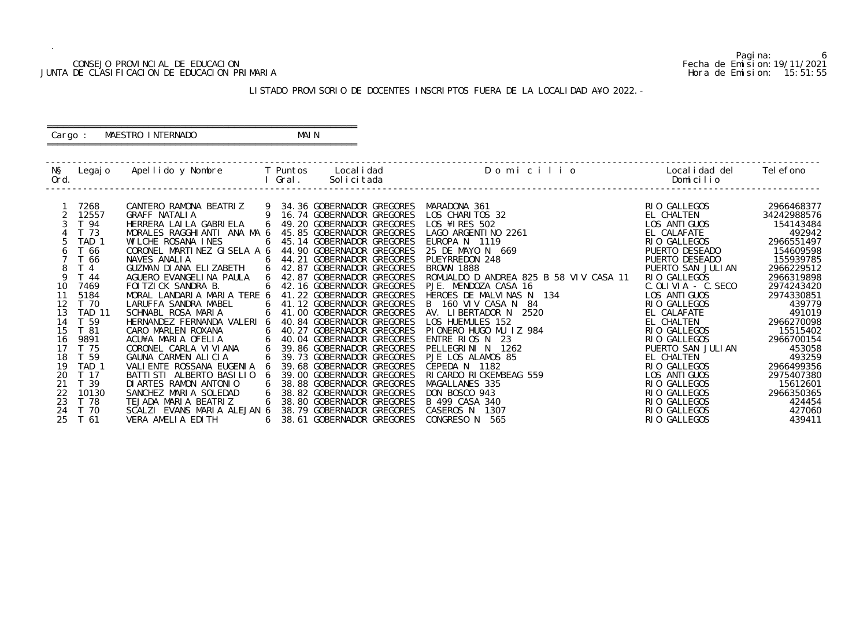### CONSEJO PROVINCIAL DE EDUCACION Fecha de Emision:19/11/2021 JUNTA DE CLASIFICACION DE EDUCACION PRIMARIA Hora de Emision: 15:51:55

# ========================================================== Cargo : MAESTRO INTERNADO MAIN

# LISTADO PROVISORIO DE DOCENTES INSCRIPTOS FUERA DE LA LOCALIDAD A¥O 2022.-

==========================================================

| NŞ<br>Ord.     | Legaj o                                     | Apellido y Nombre                                                                               |        | T Puntos<br>Gral. | Local i dad<br>Solicitada                                                           | Domicilio                                                                                  | Local i dad del<br>Domicilio                             | Tel efono                              |
|----------------|---------------------------------------------|-------------------------------------------------------------------------------------------------|--------|-------------------|-------------------------------------------------------------------------------------|--------------------------------------------------------------------------------------------|----------------------------------------------------------|----------------------------------------|
|                | 7268<br>12557<br>T 94                       | CANTERO RAMONA BEATRIZ 9 34.36 GOBERNADOR GREGORES<br>GRAFF NATALIA<br>HERRERA LAI LA GABRI ELA | 9<br>6 |                   | 16.74 GOBERNADOR GREGORES<br>49.20 GOBERNADOR GREGORES                              | MARADONA 361<br>LOS CHARITOS 32<br>LOS ¥1 RES 502                                          | RIO GALLEGOS<br>EL CHALTEN<br>LOS ANTI GUOS              | 2966468377<br>34242988576<br>154143484 |
|                | T 73<br>TAD <sub>1</sub>                    | MORALES RAGGHIANTI ANA MA 6<br>WILCHE ROSANA INES                                               |        |                   | 45.85 GOBERNADOR GREGORES<br>45.14 GOBERNADOR GREGORES                              | LAGO ARGENTI NO 2261<br>EUROPA N 1119                                                      | EL CALAFATE<br>RIO GALLEGOS                              | 492942<br>2966551497                   |
| 6<br>8         | T 66<br>T 66<br>T <sub>4</sub>              | CORONEL MARTINEZ GISELA A 6<br>NAVES ANALIA<br>GUZMAN DI ANA ELIZABETH                          | 6<br>6 | 44.21             | 44.90 GOBERNADOR GREGORES<br>GOBERNADOR GREGORES<br>42.87 GOBERNADOR GREGORES       | 25 DE MAYO N 669<br>PUEYRREDON 248<br><b>BROWN 1888</b>                                    | PUERTO DESEADO<br>PUERTO DESEADO<br>PUERTO SAN JULIAN    | 154609598<br>155939785<br>2966229512   |
| 10<br>11       | T 44<br>7469<br>5184                        | AGUERO EVANGELINA PAULA<br>FOI TZI CK SANDRA B.<br>MORAL LANDARIA MARIA TERE 6                  |        |                   | 42.87 GOBERNADOR GREGORES<br>42.16 GOBERNADOR GREGORES<br>41.22 GOBERNADOR GREGORES | ROMUALDO D ANDREA 825 B 58 VIV CASA 11<br>PJE. MENDOZA CASA 16<br>HEROES DE MALVINAS N 134 | RIO GALLEGOS<br>$C.$ OLIVIA - $C.$ SECO<br>LOS ANTI GUOS | 2966319898<br>2974243420<br>2974330851 |
| 12<br>13       | T 70<br><b>TAD 11</b>                       | LARUFFA SANDRA MABEL<br>SCHNABL ROSA MARIA                                                      | 6<br>6 |                   | 41.12 GOBERNADOR GREGORES<br>41.00 GOBERNADOR GREGORES                              | 160 VIV CASA N 84<br>B<br>AV. LIBERTADOR N<br>2520                                         | RIO GALLEGOS<br>EL CALAFATE                              | 439779<br>491019                       |
| 14<br>15<br>16 | T 59<br>T 81<br>9891                        | HERNANDEZ FERNANDA VALERI 6<br>CARO MARLEN ROXANA<br>ACU¥A MARIA OFELIA                         | 6<br>6 |                   | 40.84 GOBERNADOR GREGORES<br>40.27 GOBERNADOR GREGORES<br>40.04 GOBERNADOR GREGORES | LOS HUEMULES 152<br>PIONERO HUGO MU IZ 984<br>ENTRE RIOS N<br>- 23                         | EL CHALTEN<br>RIO GALLEGOS<br>RIO GALLEGOS               | 2966270098<br>15515402<br>2966700154   |
| 17<br>18       | T 75<br>T 59                                | CORONEL CARLA VI VI ANA<br>GAUNA CARMEN ALICIA                                                  | 6      |                   | 39.86 GOBERNADOR GREGORES<br>39.73 GOBERNADOR GREGORES                              | PELLEGRINI N<br>1262<br>PJE LOS ALAMOS 85                                                  | PUERTO SAN JULIAN<br>EL CHALTEN                          | 453058<br>493259                       |
| 19<br>20       | TAD <sub>1</sub><br>T 17<br>T <sub>39</sub> | VALI ENTE ROSSANA EUGENIA<br>BATTI STI ALBERTO BASI LI 0<br>DI ARTES RAMON ANTONIO              |        |                   | 39.68 GOBERNADOR GREGORES<br>39.00 GOBERNADOR GREGORES<br>38.88 GOBERNADOR GREGORES | CEPEDA N 1182<br>RI CARDO RI CKEMBEAG 559<br>MAGALLANES 335                                | RIO GALLEGOS<br>LOS ANTI GUOS<br>RIO GALLEGOS            | 2966499356<br>2975407380<br>15612601   |
| 22<br>23       | 10130<br>T 78                               | SANCHEZ MARIA SOLEDAD<br>TEJADA MARIA BEATRIZ                                                   |        |                   | 38.82 GOBERNADOR GREGORES<br>38.80 GOBERNADOR GREGORES                              | DON BOSCO 943<br>B 499 CASA 340                                                            | RIO GALLEGOS<br>RIO GALLEGOS                             | 2966350365<br>424454                   |
| 24<br>25       | T 70<br>T 61                                | SCALZI EVANS MARIA ALEJAN 6<br>VERA AMELIA EDITH                                                | 6      |                   | 38.79 GOBERNADOR GREGORES<br>38.61 GOBERNADOR GREGORES                              | CASEROS N<br>1307<br><b>CONGRESO N</b><br>565                                              | RIO GALLEGOS<br>RIO GALLEGOS                             | 427060<br>439411                       |

6<br>Fecha de Emision: 19/11/2021<br>Hora de Emision: 15: 51: 55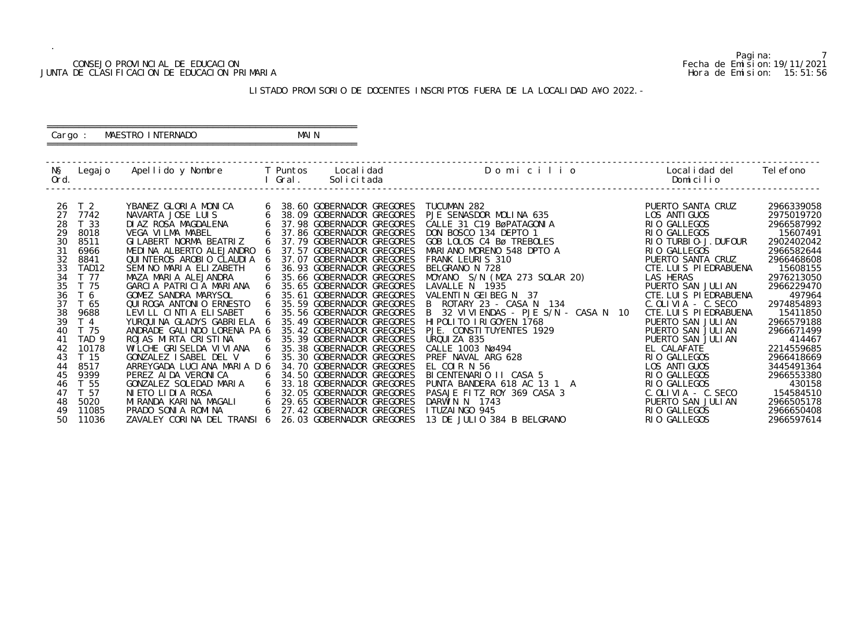### CONSEJO PROVINCIAL DE EDUCACION Fecha de Emision:19/11/2021 JUNTA DE CLASIFICACION DE EDUCACION PRIMARIA Hora de Emision: 15:51:56

# ========================================================== Cargo : MAESTRO INTERNADO MAIN

# LISTADO PROVISORIO DE DOCENTES INSCRIPTOS FUERA DE LA LOCALIDAD A¥O 2022.-

==========================================================

| NŞ<br>Ord.                                                                                               | Legaj o                                                                                                                                                                                                                                        | Apellido y Nombre     T Puntos                                                                                                                                                                                                                                                                                                                                                                                                                                                                                                                                 | I Gral.                              | Local i dad<br>Solicitada                                                                                                                                                                                                                                                                                                                                                                                                                                                                                                                                                                                                     | Domicilio                                                                                                                                                                                                                                                                                                                                                                                                                                                                                                                          | Local i dad del<br>Domicilio                                                                                                                                                                                                                                                                                                                                                                                           | Tel efono                                                                                                                                                                                                                                                                                     |
|----------------------------------------------------------------------------------------------------------|------------------------------------------------------------------------------------------------------------------------------------------------------------------------------------------------------------------------------------------------|----------------------------------------------------------------------------------------------------------------------------------------------------------------------------------------------------------------------------------------------------------------------------------------------------------------------------------------------------------------------------------------------------------------------------------------------------------------------------------------------------------------------------------------------------------------|--------------------------------------|-------------------------------------------------------------------------------------------------------------------------------------------------------------------------------------------------------------------------------------------------------------------------------------------------------------------------------------------------------------------------------------------------------------------------------------------------------------------------------------------------------------------------------------------------------------------------------------------------------------------------------|------------------------------------------------------------------------------------------------------------------------------------------------------------------------------------------------------------------------------------------------------------------------------------------------------------------------------------------------------------------------------------------------------------------------------------------------------------------------------------------------------------------------------------|------------------------------------------------------------------------------------------------------------------------------------------------------------------------------------------------------------------------------------------------------------------------------------------------------------------------------------------------------------------------------------------------------------------------|-----------------------------------------------------------------------------------------------------------------------------------------------------------------------------------------------------------------------------------------------------------------------------------------------|
| 27<br>28<br>29<br>30<br>31<br>32<br>33<br>34<br>37<br>38<br>39<br>40<br>41<br>42<br>43<br>44<br>45<br>46 | T <sub>2</sub><br>26<br>7742<br>T 33<br>8018<br>8511<br>6966<br>8841<br>TAD <sub>12</sub><br>T 77<br>35<br>T 75<br>36<br>T <sub>6</sub><br>T 65<br>9688<br>T <sub>4</sub><br>T 75<br>TAD <sub>9</sub><br>10178<br>T 15<br>8517<br>9399<br>T 55 | YBANEZ GLORIA MONICA<br>NAVARTA JOSE LUIS<br>DIAZ ROSA MAGDALENA<br>VEGA VILMA MABEL<br>GI LABERT NORMA BEATRIZ<br>MEDINA ALBERTO ALEJANDRO<br>QUINTEROS AROBIO CLAUDIA<br>SEMINO MARIA ELIZABETH<br>MAZA MARIA ALEJANDRA<br>GARCIA PATRICIA MARIANA<br>GOMEZ SANDRA MARYSOL<br>QUI ROGA ANTONI O ERNESTO<br>LEVILL CINTIA ELISABET<br>YURQUINA GLADYS GABRIELA 6<br>ANDRADE GALINDO LORENA PA 6<br>ROJAS MIRTA CRISTINA<br>WILCHE GRISELDA VIVIANA<br>GONZALEZ ISABEL DEL V<br>ARREYGADA LUCIANA MARIA D 6<br>PEREZ AI DA VERONI CA<br>GONZALEZ SOLEDAD MARIA | 6<br>6<br>6<br>6<br>6<br>6<br>6<br>6 | 38.60 GOBERNADOR GREGORES<br>38.09 GOBERNADOR GREGORES<br>37.98 GOBERNADOR GREGORES<br>37.86 GOBERNADOR GREGORES<br>37.79 GOBERNADOR GREGORES<br>37.57 GOBERNADOR GREGORES<br>37.07 GOBERNADOR GREGORES<br>36.93 GOBERNADOR GREGORES<br>35.66 GOBERNADOR GREGORES<br>35.65 GOBERNADOR GREGORES<br>35.61 GOBERNADOR GREGORES<br>35.59 GOBERNADOR GREGORES<br>35.56 GOBERNADOR GREGORES<br>35.49 GOBERNADOR GREGORES<br>35.42 GOBERNADOR GREGORES<br>35.39 GOBERNADOR GREGORES<br>35.38 GOBERNADOR GREGORES<br>35.30 GOBERNADOR GREGORES<br>34.70 GOBERNADOR GREGORES<br>34.50 GOBERNADOR GREGORES<br>33.18 GOBERNADOR GREGORES | TUCUMAN 282<br>PJE SENASDOR MOLINA 635<br>CALLE 31 C19 BøPATAGONIA<br>DON BOSCO 134 DEPTO 1<br>GOB LOLOS C4 Bø TREBOLES<br>MARIANO MORENO 548 DPTO A<br>FRANK LEURIS 310<br>BELGRANO N 728<br>MOYANO S/N (MZA 273 SOLAR 20)<br>LAVALLE N 1935<br>VALENTIN GEIBEG N 37<br>ROTARY 23 - CASA N 134<br>B 32 VIVIENDAS - PJE S/N - CASA N 10<br>HI POLITO I RI GOYEN 1768<br>PJE. CONSTITUYENTES 1929<br>URQUIZA 835<br>CALLE 1003 Nø494<br>PREF NAVAL ARG 628<br>EL COIR N 56<br>BICENTENARIO II CASA 5<br>PUNTA BANDERA 618 AC 13 1 A | PUERTO SANTA CRUZ<br>LOS ANTI GUOS<br>RIO GALLEGOS<br>RIO GALLEGOS<br>RIO TURBIO-J. DUFOUR<br>RIO GALLEGOS<br>PUERTO SANTA CRUZ<br>CTE. LUIS PIEDRABUENA<br>LAS HERAS<br>PUERTO SAN JULIAN<br>CTE. LUIS PIEDRABUENA<br>$C.$ OLIVIA - $C.$ SECO<br>CTE. LUIS PIEDRABUENA<br>PUERTO SAN JULIAN<br>PUERTO SAN JULIAN<br>PUERTO SAN JULIAN<br>EL CALAFATE<br>RIO GALLEGOS<br>LOS ANTI GUOS<br>RIO GALLEGOS<br>RIO GALLEGOS | 2966339058<br>2975019720<br>2966587992<br>15607491<br>2902402042<br>2966582644<br>2966468608<br>15608155<br>2976213050<br>2966229470<br>497964<br>2974854893<br>15411850<br>2966579188<br>2966671499<br>414467<br>2214559685<br>2966418669<br>3445491364<br>2966553380<br>430158<br>154584510 |
| 47<br>48<br>49<br>50                                                                                     | T 57<br>5020<br>11085<br>11036                                                                                                                                                                                                                 | NIETO LIDIA ROSA<br>MIRANDA KARINA MAGALI<br>PRADO SONIA ROMINA<br>ZAVALEY CORINA DEL TRANSI 6                                                                                                                                                                                                                                                                                                                                                                                                                                                                 | 6<br>6                               | 32.05 GOBERNADOR GREGORES<br>29.65 GOBERNADOR GREGORES<br>27.42 GOBERNADOR GREGORES<br>26.03 GOBERNADOR GREGORES                                                                                                                                                                                                                                                                                                                                                                                                                                                                                                              | PASAJE FITZ ROY 369 CASA 3<br>DARWIN N 1743<br>I TUZAI NGO 945<br>13 DE JULIO 384 B BELGRANO                                                                                                                                                                                                                                                                                                                                                                                                                                       | $C.$ OLIVIA - $C.$ SECO<br>PUERTO SAN JULIAN<br>RIO GALLEGOS<br>RIO GALLEGOS                                                                                                                                                                                                                                                                                                                                           | 2966505178<br>2966650408<br>2966597614                                                                                                                                                                                                                                                        |

Pagina: 7<br>Fecha de Emision: 19/11/2021<br>Hora de Emision: 15: 51: 56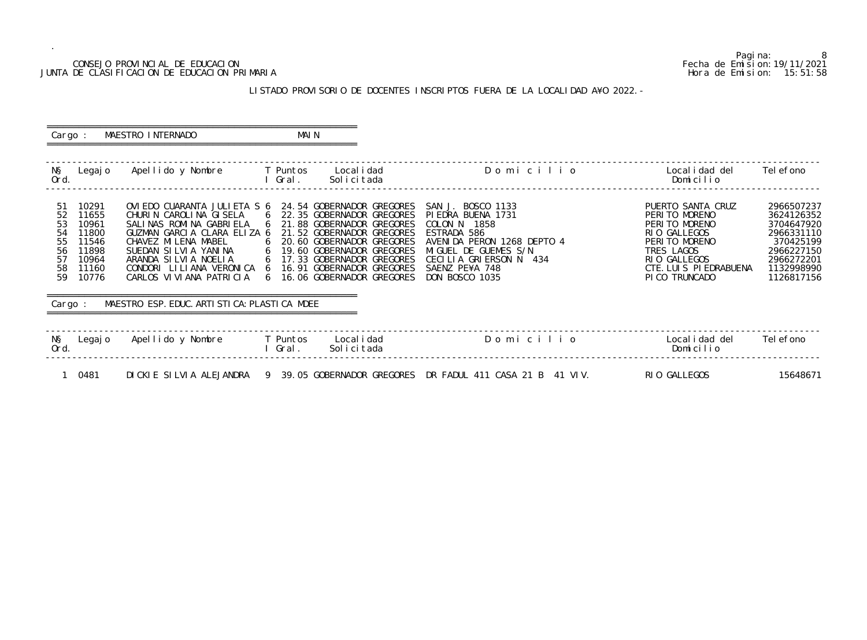## CONSEJO PROVINCIAL DE EDUCACION Fecha de Emision:19/11/2021 JUNTA DE CLASIFICACION DE EDUCACION PRIMARIA Hora de Emision: 15:51:58

# LISTADO PROVISORIO DE DOCENTES INSCRIPTOS FUERA DE LA LOCALIDAD A¥O 2022.-

| Cargo :                                                                                                                                        | MAESTRO INTERNADO                                                                                                                                                                                                                                                                                    | MAI N             |                                                                                                                                                                                                                                                                   |                                                                                                                                                                                                                |                                                                                                                                                               |                                                                                                                           |
|------------------------------------------------------------------------------------------------------------------------------------------------|------------------------------------------------------------------------------------------------------------------------------------------------------------------------------------------------------------------------------------------------------------------------------------------------------|-------------------|-------------------------------------------------------------------------------------------------------------------------------------------------------------------------------------------------------------------------------------------------------------------|----------------------------------------------------------------------------------------------------------------------------------------------------------------------------------------------------------------|---------------------------------------------------------------------------------------------------------------------------------------------------------------|---------------------------------------------------------------------------------------------------------------------------|
| NŞ<br>Legaj o<br>Ord.                                                                                                                          | Apellido y Nombre                                                                                                                                                                                                                                                                                    | T Puntos<br>Gral. | Local i dad<br>Solicitada                                                                                                                                                                                                                                         | Domicilio                                                                                                                                                                                                      | Local i dad del<br>Domicilio                                                                                                                                  | Tel efono                                                                                                                 |
| 10291<br>-51<br>52<br>11655<br>53<br>10961<br>54<br>11800<br>55<br>11546<br>56<br>11898<br>57<br>10964<br>58<br>11160<br>59<br>10776<br>Cargo: | OVIEDO CUARANTA JULIETA S 6<br>CHURIN CAROLINA GISELA<br>SALINAS ROMINA GABRIELA<br>GUZMAN GARCIA CLARA ELIZA 6<br>CHAVEZ MI LENA MABEL<br>SUEDAN SILVIA YANINA<br>ARANDA SILVIA NOELIA<br>CONDORI LILIANA VERONICA<br>CARLOS VI VI ANA PATRI CI A<br>MAESTRO ESP. EDUC. ARTI STI CA: PLASTI CA MDEE | 6<br>6            | 24.54 GOBERNADOR GREGORES<br>22.35 GOBERNADOR GREGORES<br>21.88 GOBERNADOR GREGORES<br>21.52 GOBERNADOR GREGORES<br>20.60 GOBERNADOR GREGORES<br>19.60 GOBERNADOR GREGORES<br>17.33 GOBERNADOR GREGORES<br>16.91 GOBERNADOR GREGORES<br>16.06 GOBERNADOR GREGORES | SAN J. BOSCO 1133<br>PIEDRA BUENA 1731<br>COLON <sub>N</sub><br>1858<br>ESTRADA 586<br>AVENIDA PERON 1268 DEPTO 4<br>MIGUEL DE GUEMES S/N<br>CECILIA GRIERSON N 434<br>SAENZ PE¥A 748<br><b>DON BOSCO 1035</b> | PUERTO SANTA CRUZ<br>PERITO MORENO<br>PERITO MORENO<br>RIO GALLEGOS<br>PERITO MORENO<br>TRES LAGOS<br>RIO GALLEGOS<br>CTE. LUIS PIEDRABUENA<br>PI CO TRUNCADO | 2966507237<br>3624126352<br>3704647920<br>2966331110<br>370425199<br>2966227150<br>2966272201<br>1132998990<br>1126817156 |
| NŞ<br>Legaj o<br>Ord.                                                                                                                          | Apellido y Nombre                                                                                                                                                                                                                                                                                    | T Puntos<br>Gral. | Local i dad<br>Solicitada                                                                                                                                                                                                                                         | Domicilio                                                                                                                                                                                                      | Local i dad del<br>Domicilio                                                                                                                                  | Tel efono                                                                                                                 |
| 0481                                                                                                                                           | DICKIE SILVIA ALEJANDRA                                                                                                                                                                                                                                                                              |                   | 9 39.05 GOBERNADOR GREGORES                                                                                                                                                                                                                                       | DR FADUL 411 CASA 21 B 41 VIV.                                                                                                                                                                                 | RIO GALLEGOS                                                                                                                                                  | 15648671                                                                                                                  |

8<br>Fecha de Emision: 19/11/2021<br>Hora de Emision: 15: 51: 58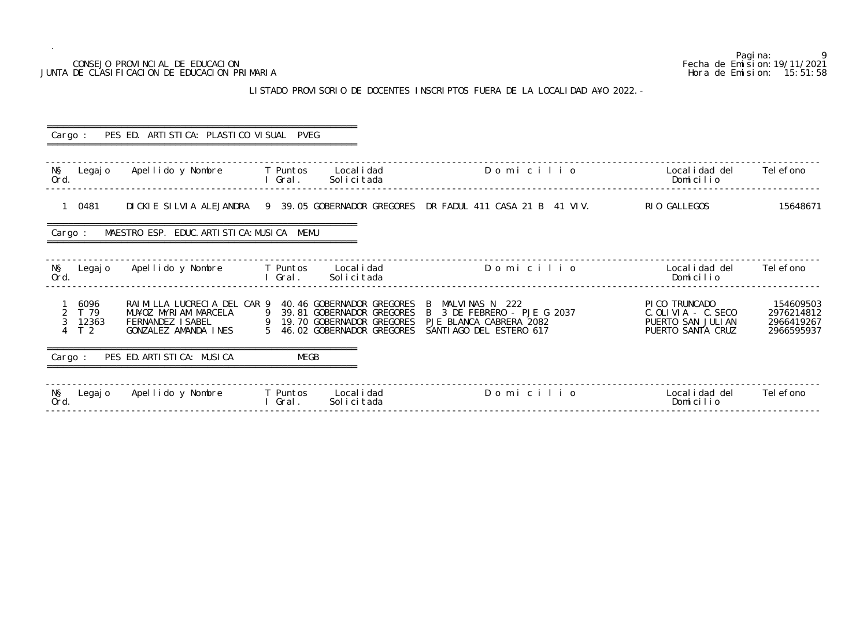# CONSEJO PROVINCIAL DE EDUCACION JUNTA DE CLASIFICACION DE EDUCACION PRIMARIA

.

# LISTADO PROVISORIO DE DOCENTES INSCRIPTOS FUERA DE LA LOCALI

|                                         | CONSEJO PROVINCIAL DE EDUCACION<br>JUNTA DE CLASIFICACION DE EDUCACION PRIMARIA                 |                   |                                                            |                                                                                                                                                            |                                                                                     | 9<br>Pagi na:<br>Fecha de Emi si on: 19/11/2021<br>Hora de Emision: 15:51:58 |
|-----------------------------------------|-------------------------------------------------------------------------------------------------|-------------------|------------------------------------------------------------|------------------------------------------------------------------------------------------------------------------------------------------------------------|-------------------------------------------------------------------------------------|------------------------------------------------------------------------------|
|                                         |                                                                                                 |                   |                                                            | LISTADO PROVISORIO DE DOCENTES INSCRIPTOS FUERA DE LA LOCALIDAD A¥O 2022. -                                                                                |                                                                                     |                                                                              |
| Cargo :                                 | PES ED. ARTI STI CA: PLASTI CO VI SUAL PVEG                                                     |                   |                                                            |                                                                                                                                                            |                                                                                     |                                                                              |
| NŞ<br>Legaj o<br>Ord.                   | Apellido y Nombre         T Puntos      Localidad                                               | Gral.             | Solicitada                                                 | Domicilio                                                                                                                                                  | Local i dad del<br>Domicilio                                                        | Tel efono                                                                    |
| 1 0481                                  |                                                                                                 |                   |                                                            | DICKIE SILVIA ALEJANDRA 9 39.05 GOBERNADOR GREGORES DR FADUL 411 CASA 21 B 41 VIV.                                                                         | RIO GALLEGOS                                                                        | 15648671                                                                     |
| Cargo :                                 | MAESTRO ESP. EDUC. ARTI STI CA: MUSI CA MEMU                                                    |                   |                                                            |                                                                                                                                                            |                                                                                     |                                                                              |
| NŞ<br>Legaj o<br>Ord.                   | Apellido y Nombre                                                                               | T Puntos<br>Gral. | Local i dad<br>Solicitada                                  | Domicilio                                                                                                                                                  | Local i dad del<br>Domicilio                                                        | Tel efono                                                                    |
| 6096<br>T 79<br>12363<br>T <sub>2</sub> | RAIMILLA LUCRECIA DEL CAR 9<br>MU¥OZ MYRIAM MARCELA<br>FERNANDEZ ISABEL<br>GONZALEZ AMANDA INES |                   | 9 19.70 GOBERNADOR GREGORES<br>5 46.02 GOBERNADOR GREGORES | 40.46 GOBERNADOR GREGORES B MALVINAS N 222<br>39.81 GOBERNADOR GREGORES B 3 DE FEBRERO - PJE G 2037<br>PJE BLANCA CABRERA 2082<br>SANTI AGO DEL ESTERO 617 | PI CO TRUNCADO<br>$C.$ OLIVIA - $C.$ SECO<br>PUERTO SAN JULIAN<br>PUERTO SANTA CRUZ | 154609503<br>2976214812<br>2966419267<br>2966595937                          |
| Cargo :                                 | PES ED. ARTI STI CA: MUSI CA                                                                    | <b>MEGB</b>       |                                                            |                                                                                                                                                            |                                                                                     |                                                                              |
| NŞ<br>Legaj o<br>Ord.                   | Apellido y Nombre                                                                               | T Puntos<br>Gral. | Local i dad<br>Solicitada                                  | Domicilio                                                                                                                                                  | Local i dad del<br>Domicilio                                                        | Tel efono                                                                    |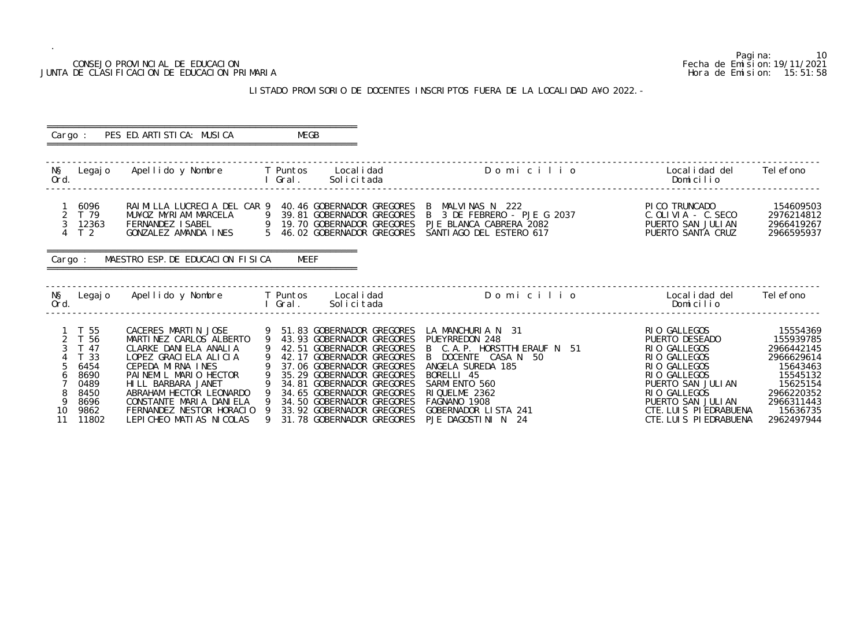# JUNTA DE CLASIFICACION DE EDUCACION PRIMARIA

.

Pagina: 10<br>Fecha de Emision: 19/11/2021 CONSEJO PROVINCIAL DE EDUCACION Fecha de Emision:19/11/2021 LISTADO PROVISORIO DE DOCENTES INSCRIPTOS FUERA DE LA LOCALIDAD A¥O 2022.- ========================================================== Cargo : PES ED. ARTISTICA: MUSICA MEGB ========================================================== ------------------------------------------------------------------------------------------------------------------------------------------------- N§ Legajo Apellido y Nombre T Puntos Localidad D o m i c i l i o Localidad del Telefono Ord. I Gral. Solicitada Domicilio ------------------------------------------------------------------------------------------------------------------------------------------------- 1 6096 RAIMILLA LUCRECIA DEL CAR 9 40.46 GOBERNADOR GREGORES B MALVINAS N 222 PICO TRUNCADO 154609503 2 T 79 MU¥OZ MYRIAM MARCELA 9 39.81 GOBERNADOR GREGORES B 3 DE FEBRERO - PJE G 2037 C.OLIVIA - C.SECO 2976214812 3 12363 FERNANDEZ ISABEL 9 19.70 GOBERNADOR GREGORES PJE BLANCA CABRERA 2082 PUERTO SAN JULIAN 2966419267 4 T 2 GONZALEZ AMANDA INES 5 46.02 GOBERNADOR GREGORES SANTIAGO DEL ESTERO 617 PUERTO SANTA CRUZ 2966595937 ========================================================== Cargo : MAESTRO ESP. DE EDUCACION FISICA MEEF ========================================================== ------------------------------------------------------------------------------------------------------------------------------------------------- N§ Legajo Apellido y Nombre T Puntos Localidad D o m i c i l i o Localidad del Telefono Ord. I Gral. Solicitada Domicilio ------------------------------------------------------------------------------------------------------------------------------------------------- 1 T 55 CACERES MARTIN JOSE 9 51.83 GOBERNADOR GREGORES LA MANCHURIA N 31 RIO GALLEGOS 15554369<br>
2 T 56 MARTINEZ CARLOS ALBERTO 9 43.93 GOBERNADOR GREGORES PUEYRREDON 248 PUERTO DESEADO 155939785<br>
3 T 47 CLARKE DANIELA ANAL 2 T 56 MARTINEZ CARLOS ALBERTO 9 43.93 GOBERNADOR GREGORES PUEYRREDON 248 PUERTO DESEADO 155939785 3 T 47 CLARKE DANIELA ANALIA 9 42.51 GOBERNADOR GREGORES B C.A.P. HORSTTHIERAUF N 51 RIO GALLEGOS 2966442145 4 T 33 LOPEZ GRACIELA ALICIA 9 42.17 GOBERNADOR GREGORES B DOCENTE CASA N 50 RIO GALLEGOS 2966629614 5 6454 CEPEDA MIRNA INES 9 37.06 GOBERNADOR GREGORES ANGELA SUREDA 185 RIO GALLEGOS 15643463 6 8690 PAINEMIL MARIO HECTOR 9 35.29 GOBERNADOR GREGORES BORELLI 45 RIO GALLEGOS RIO GALLEGOS 15545132 7 0489 HILL BARBARA JANET 9 34.81 GOBERNADOR GREGORES SARMIENTO 560 PUERTO SAN JULIAN 15625154 8 8450 ABRAHAM HECTOR LEONARDO 9 34.65 GOBERNADOR GREGORES RIQUELME 2362 RIO GALLEGOS RIO GALLEGOS 2966220352 9 8696 CONSTANTE MARIA DANIELA 9 34.50 GOBERNADOR GREGORES FAGNANO 1908 PUERTO SAN JULIAN 2966311443 10 9862 FERNANDEZ NESTOR HORACIO 9 33.92 GOBERNADOR GREGORES GOBERNADOR LISTA 241 CTE.LUIS PIEDRABUENA 15636735 11 11802 LEPICHEO MATIAS NICOLAS 9 31.78 GOBERNADOR GREGORES PJE DAGOSTINI N 24 CTE.LUIS PIEDRABUENA 2962497944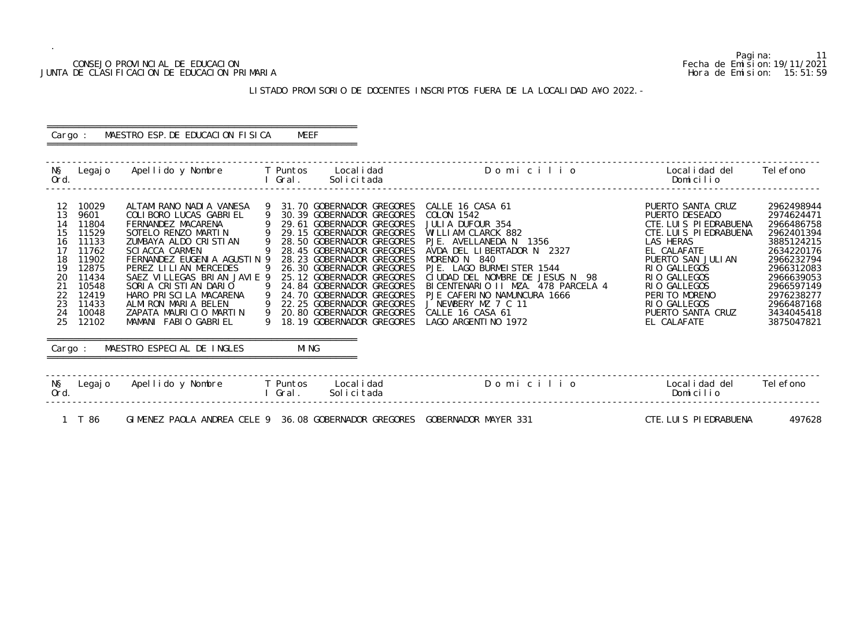## CONSEJO PROVINCIAL DE EDUCACION Fecha de Emision:19/11/2021 JUNTA DE CLASIFICACION DE EDUCACION PRIMARIA Hora de Emision: 15:51:59

# LISTADO PROVISORIO DE DOCENTES INSCRIPTOS FUERA DE LA LOCALIDAD A¥O 2022.-

### ========================================================== Cargo : MAESTRO ESP. DE EDUCACION FISICA MEEF ==========================================================

| NŞ<br>Ord.                                                                       | Legaj o                                                                                                                              | Apellido y Nombre                                                                                                                                                                                                                                                                                                                                                                                 |   | <b>T</b> Puntos<br>Gral. | Local i dad<br>Solicitada                                                                                                                                                                                                                                                                                                                                                                                          | Domicilio                                                                                                                                                                                                                                                                                                                                                | Local i dad del<br>Domicilio                                                                                                                                                                                                                                | Tel efono                                                                                                                                                                                        |
|----------------------------------------------------------------------------------|--------------------------------------------------------------------------------------------------------------------------------------|---------------------------------------------------------------------------------------------------------------------------------------------------------------------------------------------------------------------------------------------------------------------------------------------------------------------------------------------------------------------------------------------------|---|--------------------------|--------------------------------------------------------------------------------------------------------------------------------------------------------------------------------------------------------------------------------------------------------------------------------------------------------------------------------------------------------------------------------------------------------------------|----------------------------------------------------------------------------------------------------------------------------------------------------------------------------------------------------------------------------------------------------------------------------------------------------------------------------------------------------------|-------------------------------------------------------------------------------------------------------------------------------------------------------------------------------------------------------------------------------------------------------------|--------------------------------------------------------------------------------------------------------------------------------------------------------------------------------------------------|
| 12<br>13<br>14<br>15<br>16<br>17<br>18<br>19<br>20<br>21<br>22<br>23<br>24<br>25 | 10029<br>9601<br>11804<br>11529<br>11133<br>11762<br>11902<br>12875<br>11434<br>10548<br>12419<br>11433<br>10048<br>12102<br>Cargo : | ALTAMIRANO NADIA VANESA<br>COLIBORO LUCAS GABRIEL<br>FERNANDEZ MACARENA<br>SOTELO RENZO MARTIN<br>ZUMBAYA ALDO CRISTIAN<br><b>SCI ACCA CARMEN</b><br>FERNANDEZ EUGENIA AGUSTIN 9<br>PEREZ LILIAN MERCEDES<br>SAEZ VILLEGAS BRIAN JAVIE 9<br>SORIA CRISTIAN DARIO<br>HARO PRISCILA MACARENA<br>ALMIRON MARIA BELEN<br>ZAPATA MAURICIO MARTIN<br>MAMANI FABIO GABRIEL<br>MAESTRO ESPECIAL DE INGLES | 9 | MI NG                    | 31.70 GOBERNADOR GREGORES<br>30.39 GOBERNADOR GREGORES<br>29.61 GOBERNADOR GREGORES<br>29.15 GOBERNADOR GREGORES<br>28.50 GOBERNADOR GREGORES<br>28.45 GOBERNADOR GREGORES<br>28.23 GOBERNADOR GREGORES<br>26.30 GOBERNADOR GREGORES<br>25.12 GOBERNADOR GREGORES<br>24.84 GOBERNADOR GREGORES<br>24.70 GOBERNADOR GREGORES<br>22.25 GOBERNADOR GREGORES<br>20.80 GOBERNADOR GREGORES<br>18.19 GOBERNADOR GREGORES | CALLE 16 CASA 61<br>COLON 1542<br>JULIA DUFOUR 354<br>WILLIAM CLARCK 882<br>PJE. AVELLANEDA N 1356<br>AVDA DEL LIBERTADOR N 2327<br>MORENO N 840<br>PJE. LAGO BURMEISTER 1544<br>CIUDAD DEL NOMBRE DE JESUS N 98<br>BICENTENARIO II MZA. 478 PARCELA 4<br>PJE CAFERINO NAMUNCURA 1666<br>J NEWBERY MZ 7 C 11<br>CALLE 16 CASA 61<br>LAGO ARGENTI NO 1972 | PUERTO SANTA CRUZ<br>PUERTO DESEADO<br>CTE. LUIS PIEDRABUENA<br>CTE. LUIS PIEDRABUENA<br>LAS HERAS<br>EL CALAFATE<br>PUERTO SAN JULIAN<br>RIO GALLEGOS<br>RIO GALLEGOS<br>RIO GALLEGOS<br>PERITO MORENO<br>RIO GALLEGOS<br>PUERTO SANTA CRUZ<br>EL CALAFATE | 2962498944<br>2974624471<br>2966486758<br>2962401394<br>3885124215<br>2634220176<br>2966232794<br>2966312083<br>2966639053<br>2966597149<br>2976238277<br>2966487168<br>3434045418<br>3875047821 |
| NŞ<br>Ord.                                                                       | Legaj o                                                                                                                              | Apellido y Nombre                                                                                                                                                                                                                                                                                                                                                                                 |   | T Puntos<br>Gral.        | Local i dad<br>Solicitada                                                                                                                                                                                                                                                                                                                                                                                          | Domicilio                                                                                                                                                                                                                                                                                                                                                | Local i dad del<br>Domicilio                                                                                                                                                                                                                                | Tel efono                                                                                                                                                                                        |

1 T 86 GIMENEZ PAOLA ANDREA CELE 9 36.08 GOBERNADOR GREGORES GOBERNADOR MAYER 331 CTE.LUIS PIEDRABUENA 497628

Pagina: 11<br>Fecha de Emision: 19/11/2021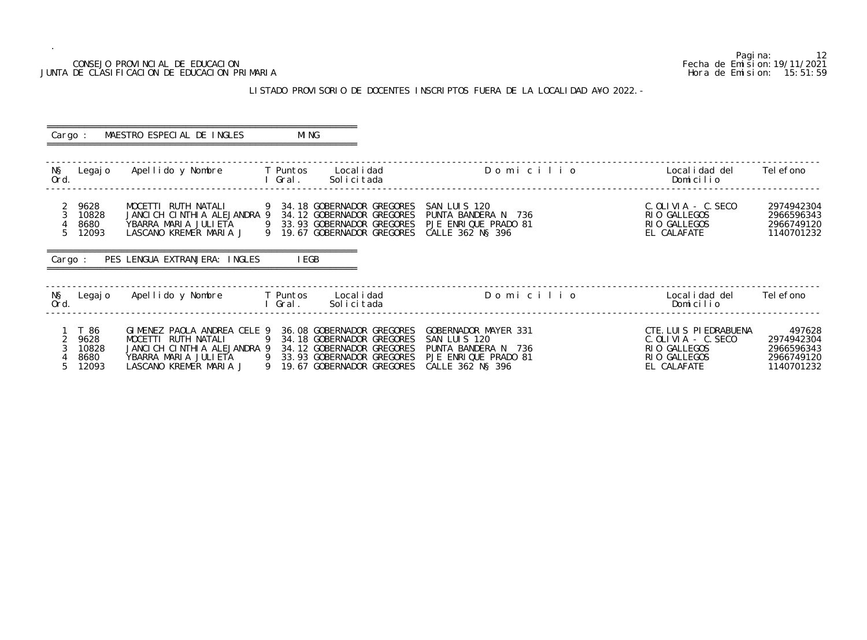# JUNTA DE CLASIFICACION DE EDUCACION PRIMARIA

.

Pagina: 12<br>Fecha de Emision: 19/11/2021 CONSEJO PROVINCIAL DE EDUCACION Fecha de Emision:19/11/2021 LISTADO PROVISORIO DE DOCENTES INSCRIPTOS FUERA DE LA LOCALIDAD A¥O 2022. - ========================================================== Cargo : MAESTRO ESPECIAL DE INGLES MING ========================================================== ------------------------------------------------------------------------------------------------------------------------------------------------- N§ Legajo Apellido y Nombre T Puntos Localidad D o m i c i l i o Localidad del Telefono Ord. I Gral. Solicitada Domicilio ------------------------------------------------------------------------------------------------------------------------------------------------- 2 9628 MOCETTI RUTH NATALI 9 34.18 GOBERNADOR GREGORES SAN LUIS 120 C.OLIVIA - C.SECO 2974942304 3 10828 JANCICH CINTHIA ALEJANDRA 9 34.12 GOBERNADOR GREGORES PUNTA BANDERA N 736 RIO GALLEGOS 2966596343 4 8680 YBARRA MARIA JULIETA 9 33.93 GOBERNADOR GREGORES PJE ENRIQUE PRADO 81 RIO GALLEGOS 2966749120 5 12093 LASCANO KREMER MARIA J 9 19.67 GOBERNADOR GREGORES CALLE 362 N§ 396 EL CALAFATE 1140701232 ========================================================== Cargo : PES LENGUA EXTRANJERA: INGLES IEGB ========================================================== ------------------------------------------------------------------------------------------------------------------------------------------------- N§ Legajo Apellido y Nombre T Puntos Localidad D o m i c i l i o Localidad del Telefono Ord. I Gral. Solicitada Domicilio ------------------------------------------------------------------------------------------------------------------------------------------------- 1 T 86 GIMENEZ PAOLA ANDREA CELE 9 36.08 GOBERNADOR GREGORES GOBERNADOR MAYER 331 CTE.LUIS PIEDRABUENA 497628<br>2 9628 MOCETTI RUTH NATALI 29 34.18 GOBERNADOR GREGORES SAN LUIS 120 C.OLIVIA - C.SECO 2974942304 2 9628 MOCETTI RUTH NATALI 9 34.18 GOBERNADOR GREGORES SAN LUIS 120 C.OLIVIA - C.SECO 2974942304 3 10828 JANCICH CINTHIA ALEJANDRA 9 34.12 GOBERNADOR GREGORES PUNTA BANDERA N 736 RIO GALLEGOS 2966596343 4 8680 YBARRA MARIA JULIETA 9 33.93 GOBERNADOR GREGORES PJE ENRIQUE PRADO 81 RIO GALLEGOS 2966749120 5 12093 LASCANO KREMER MARIA J 9 19.67 GOBERNADOR GREGORES CALLE 362 N§ 396 EL CALAFATE 1140701232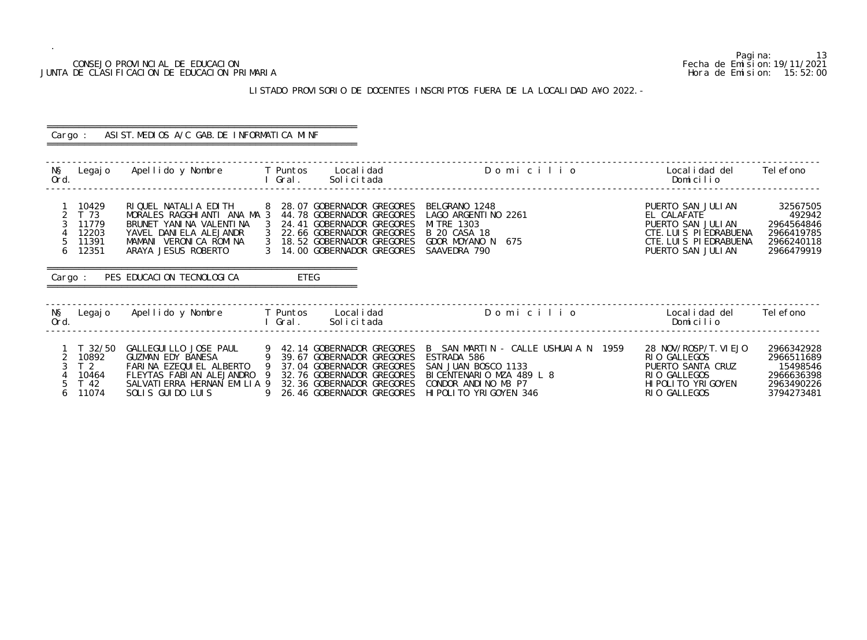## CONSEJO PROVINCIAL DE EDUCACION Fecha de Emision:19/11/2021 JUNTA DE CLASIFICACION DE EDUCACION PRIMARIA Hora de Emision: 15:52:00

# LISTADO PROVISORIO DE DOCENTES INSCRIPTOS FUERA DE LA LOCALIDAD A¥O 2022.-

| Cargo :                                                             | ASIST. MEDIOS A/C GAB. DE INFORMATICA MINF                                                                                                                |                                                                                                                                                                                                                                                                                                                                                                                |                                                                                                                              |                                                                                |
|---------------------------------------------------------------------|-----------------------------------------------------------------------------------------------------------------------------------------------------------|--------------------------------------------------------------------------------------------------------------------------------------------------------------------------------------------------------------------------------------------------------------------------------------------------------------------------------------------------------------------------------|------------------------------------------------------------------------------------------------------------------------------|--------------------------------------------------------------------------------|
| NŞ<br>Legaj o<br>Ord.                                               | Apellido y Nombre     T Puntos                                                                                                                            | Domicilio<br>Local i dad<br>Solicitada<br>l Gral.                                                                                                                                                                                                                                                                                                                              | Localidad del<br>Domicilio                                                                                                   | Tel efono                                                                      |
| 10429<br>T 73<br>3<br>11779<br>12203<br>5<br>11391<br>12351<br>6    | RIQUEL NATALIA EDITH<br>MORALES RAGGHIANTI ANA MA 3<br>BRUNET YANINA VALENTINA<br>YAVEL DANIELA ALEJANDR<br>MAMANI VERONICA ROMINA<br>ARAYA JESUS ROBERTO | 8 28.07 GOBERNADOR GREGORES<br>BELGRANO 1248<br>44.78 GOBERNADOR GREGORES<br>LAGO ARGENTI NO 2261<br>- 3<br>24.41 GOBERNADOR GREGORES<br>MI TRE 1303<br>22.66 GOBERNADOR GREGORES<br>B 20 CASA 18<br>3 18.52 GOBERNADOR GREGORES<br>GDOR MOYANO N<br>675<br>3 14.00 GOBERNADOR GREGORES<br>SAAVEDRA 790                                                                        | PUERTO SAN JULIAN<br>EL CALAFATE<br>PUERTO SAN JULIAN<br>CTE. LUIS PIEDRABUENA<br>CTE. LUIS PIEDRABUENA<br>PUERTO SAN JULIAN | 32567505<br>492942<br>2964564846<br>2966419785<br>2966240118<br>2966479919     |
| Cargo :                                                             | PES EDUCACION TECNOLOGICA                                                                                                                                 | ETEG                                                                                                                                                                                                                                                                                                                                                                           |                                                                                                                              |                                                                                |
| NŞ<br>Ord.                                                          | Legajo Apellido y Nombre T Puntos Localidad                                                                                                               | Domicilio<br>Solicitada<br>l Gral.                                                                                                                                                                                                                                                                                                                                             | Local i dad del<br>Domicilio                                                                                                 | Tel efono                                                                      |
| $T$ 32/50<br>10892<br>T <sub>2</sub><br>10464<br>T 42<br>11074<br>6 | $\overline{9}$<br>GUZMAN EDY BANESA<br>FARINA EZEQUIEL ALBERTO<br>FLEYTAS FABIAN ALEJANDRO 9<br>SALVATI ERRA HERNAN EMILIA 9<br>SOLIS GUIDO LUIS          | B SAN MARTIN - CALLE USHUAIA N 1959<br>GALLEGUILLO JOSE PAUL 9 42.14 GOBERNADOR GREGORES<br>ESTRADA 586<br>39.67 GOBERNADOR GREGORES<br>$\overline{9}$<br>37.04 GOBERNADOR GREGORES<br>SAN JUAN BOSCO 1133<br>32.76 GOBERNADOR GREGORES<br>BICENTENARIO MZA 489 L 8<br>32.36 GOBERNADOR GREGORES<br>CONDOR ANDINO M3 P7<br>26.46 GOBERNADOR GREGORES<br>HI POLITO YRIGOYEN 346 | 28 NOV/ROSP/T. VI EJO<br>RIO GALLEGOS<br>PUERTO SANTA CRUZ<br>RIO GALLEGOS<br>HI POLI TO YRI GOYEN<br>RIO GALLEGOS           | 2966342928<br>2966511689<br>15498546<br>2966636398<br>2963490226<br>3794273481 |

Pagina: 13<br>Fecha de Emision: 19/11/2021<br>Hora de Emision: 15: 52: 00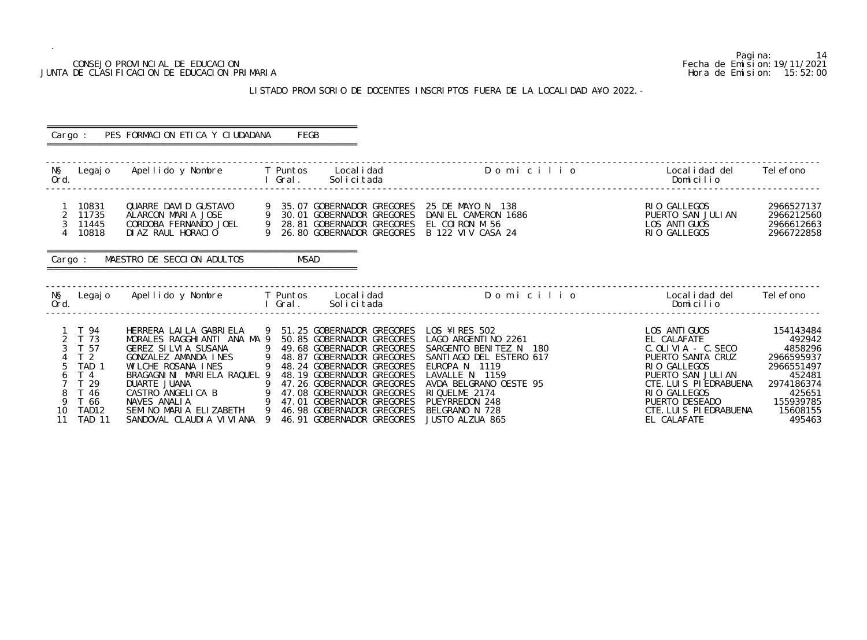Pagina: 14 CONSEJO PROVINCIAL DE EDUCACION Fecha de Emision:19/11/2021 JUNTA DE CLASIFICACION DE EDUCACION PRIMARIA **Hora de Emision:** 15:52:00 ------------------------------------------------------------------------------------------------------------------------------------------------- 2 11745 PUERTO SAN JULIAN 2966212560<br>
LOS ANTIGUOS 2966612663 ------------------------------------------------------------------------------------------------------------------------------------------------- ------------------------------------------------------------------------------------------------------------------------------------------------- CTE. LUIS PIEDRABUENA 15608155<br>EL CALAFATE 495463

# LISTADO PROVISORIO DE DOCENTES INSCRIPTOS FUERA DE LA LOCALIDAD A¥O 2022.-

| Cargo :                                                                                                                                                       | PES FORMACION ETICA Y CIUDADANA                                                                                                                                                                           | FEGB                                                                                                                                                                                                                                                                                                                                                                                                                                                                                |                                                                                                                                                                                                                                  |                                                                                                                                                                                                                      |                                                                                                                                 |
|---------------------------------------------------------------------------------------------------------------------------------------------------------------|-----------------------------------------------------------------------------------------------------------------------------------------------------------------------------------------------------------|-------------------------------------------------------------------------------------------------------------------------------------------------------------------------------------------------------------------------------------------------------------------------------------------------------------------------------------------------------------------------------------------------------------------------------------------------------------------------------------|----------------------------------------------------------------------------------------------------------------------------------------------------------------------------------------------------------------------------------|----------------------------------------------------------------------------------------------------------------------------------------------------------------------------------------------------------------------|---------------------------------------------------------------------------------------------------------------------------------|
| Ord.                                                                                                                                                          | N§ Legajo Apellido y Nombre T Puntos Localidad                                                                                                                                                            | eral Grall .<br>Solicitada                                                                                                                                                                                                                                                                                                                                                                                                                                                          | Domicilio                                                                                                                                                                                                                        | Local i dad del<br>Domicilio                                                                                                                                                                                         | Tel efono                                                                                                                       |
| 10831<br>$\overline{2}$<br>11735<br>3<br>11445<br>$\overline{4}$<br>10818                                                                                     | DIAZ RAUL HORACIO                                                                                                                                                                                         | 9 26.80 GOBERNADOR GREGORES B 122 VIV CASA 24                                                                                                                                                                                                                                                                                                                                                                                                                                       | DANIEL CAMERON 1686                                                                                                                                                                                                              | RIO GALLEGOS<br>PUERTO SAN JULIAN<br>LOS ANTI GUOS<br>RIO GALLEGOS                                                                                                                                                   | 2966527137<br>2966212560<br>2966612663<br>2966722858                                                                            |
| Cargo :                                                                                                                                                       | MAESTRO DE SECCION ADULTOS                                                                                                                                                                                | <b>MSAD</b>                                                                                                                                                                                                                                                                                                                                                                                                                                                                         |                                                                                                                                                                                                                                  |                                                                                                                                                                                                                      |                                                                                                                                 |
| Ord.                                                                                                                                                          | N§ Legajo Apellido y Nombre T Puntos                                                                                                                                                                      | Local i dad<br>l Gral.<br>Solicitada                                                                                                                                                                                                                                                                                                                                                                                                                                                | Domicilio                                                                                                                                                                                                                        | Localidad del<br>Domicilio                                                                                                                                                                                           | Tel efono                                                                                                                       |
| 1 T 94<br>2 T 73<br>3<br>T 57<br>T <sub>2</sub><br>TAD <sub>1</sub><br>5<br>T <sub>4</sub><br>6<br>T 29<br>8<br>T 46<br>9<br>T 66<br>TAD12<br>10<br>11 TAD 11 | HERRERA LAI LA GABRI ELA<br>MORALES RAGGHIANTI ANA MA 9<br>GEREZ SILVIA SUSANA<br>GONZALEZ AMANDA INES<br>WILCHE ROSANA INES<br>BRAGAGNINI MARIELA RAQUEL 9<br>DUARTE JUANA<br>SANDOVAL CLAUDIA VI VI ANA | 9 51.25 GOBERNADOR GREGORES<br>50.85 GOBERNADOR GREGORES<br>$\overline{9}$<br>49.68 GOBERNADOR GREGORES<br>48.87 GOBERNADOR GREGORES<br>$\overline{9}$<br>9 48.24 GOBERNADOR GREGORES<br>48.19 GOBERNADOR GREGORES<br>9<br>47.26 GOBERNADOR GREGORES<br>DUARTE JUANA<br>CASTRO ANGELICA B 9 47.08 GOBERNADOR GREGORES<br>NAVES ANALIA<br>SEMINO MARIA ELIZABETH 9 46.98 GOBERNADOR GREGORES<br>SEMINO MARIA ELIZABETH 9 46.98 GOBERNADOR GREGORES<br>9<br>46.91 GOBERNADOR GREGORES | LOS ¥IRES 502<br>LAGO ARGENTI NO 2261<br>SARGENTO BENITEZ N 180<br>SANTI AGO DEL ESTERO 617<br>EUROPA N 1119<br>LAVALLE N 1159<br>AVDA BELGRANO OESTE 95<br>RIQUELME 2174<br>PUEYRREDON 248<br>BELGRANO N 728<br>JUSTO ALZUA 865 | LOS ANTI GUOS<br>EL CALAFATE<br>$C.$ OLIVIA - $C.$ SECO<br>PUERTO SANTA CRUZ<br>RIO GALLEGOS<br>PUERTO SAN JULIAN<br>CTE. LUIS PIEDRABUENA<br>RIO GALLEGOS<br>PUERTO DESEADO<br>CTE. LUIS PIEDRABUENA<br>EL CALAFATE | 154143484<br>492942<br>4858296<br>2966595937<br>2966551497<br>452481<br>2974186374<br>425651<br>155939785<br>15608155<br>495463 |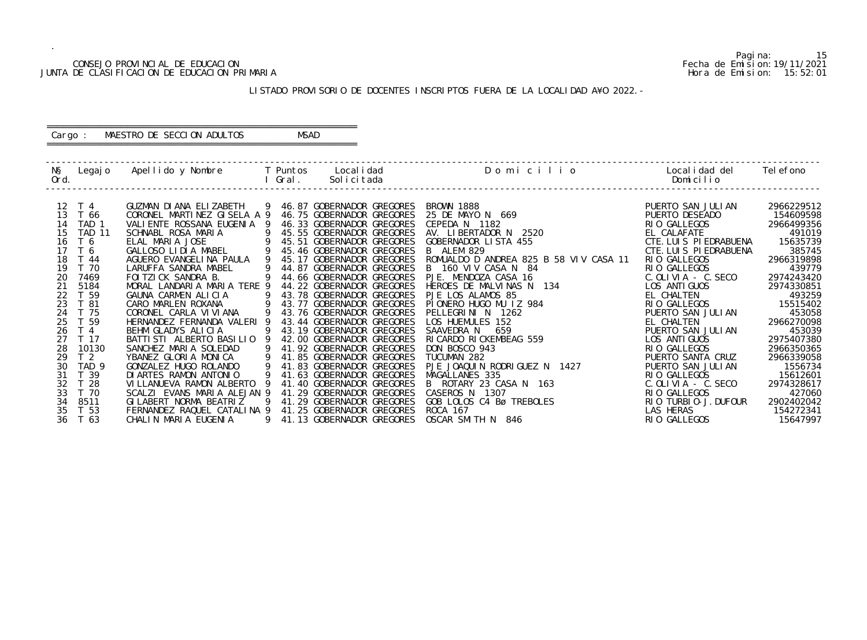# CONSEJO PROVINCIAL DE EDUCACION Fecha de Emision:19/11/2021 JUNTA DE CLASIFICACION DE EDUCACION PRIMARIA

Pagina: 15

| O           | Localidad del Telefono<br>Domicilio                                                                                                                                                                                                                                               |                                                                                                                                                                |
|-------------|-----------------------------------------------------------------------------------------------------------------------------------------------------------------------------------------------------------------------------------------------------------------------------------|----------------------------------------------------------------------------------------------------------------------------------------------------------------|
| VIV CASA 11 | PUERTO SAN JULIAN<br>PUERTO DESEADO<br>RIO GALLEGOS<br>EL CALAFATE<br>CTE. LUIS PIEDRABUENA<br>CTE. LUIS PIEDRABUENA<br>GALLEGOS<br>RI 0<br><b>GALLEGOS</b><br>RI 0<br>$C.$ OLIVIA - $C.$ SECO<br>LOS ANTI GUOS<br>EL CHALTEN<br>GALLEGOS<br>RI O                                 | 2966229512<br>154609598<br>2966499356<br>491019<br>15635739<br>385745<br>2966319898<br>439779<br>2974243420<br>2974330851<br>493259<br>15515402                |
| 27          | PUERTO SAN JULIAN<br><b>CHALTEN</b><br>PUERTO SAN JULIAN<br>LOS ANTI GUOS<br><b>GALLEGOS</b><br>RI 0<br>PUERTO SANTA CRUZ<br>PUERTO SAN JULIAN<br>RIO GALLEGOS<br>C. OLIVIA - C. SECO<br>RIO GALLEGOS<br>TURBI 0-J. DUFOUR<br>RI 0<br><b>LAS HERAS</b><br><b>GALLEGOS</b><br>RI 0 | 453058<br>2966270098<br>453039<br>2975407380<br>2966350365<br>2966339058<br>1556734<br>15612601<br>2974328617<br>427060<br>2902402042<br>154272341<br>15647997 |

### LISTADO PROVISORIO DE DOCENTES INSCRIPTOS FUERA DE LA LOCALIDAD A¥O 2022.-

 ------------------------------------------------------------------------------------------------------------------------------------------------- N§ Legajo Apellido y Nombre T Puntos Localidad Domicili Ord. I Gral. Solicitada Domicilio ------------------------------------------------------------------------------------------------------------------------------------------------- 12 T 4 GUZMAN DIANA ELIZABETH 9 46.87 GOBERNADOR GREGORES BROWN 1888<br>13 T 66 CORONEL MARTINEZ GISELA A 9 46.75 GOBERNADOR GREGORES 25 DE MAYO 13 T 66 CORONEL MARTINEZ GISELA A 9 46.75 GOBERNADOR GREGORES 25 DE MAYO N 669<br>14 TAD 1 VALIENTE ROSSANA EUGENIA 9 46.33 GOBERNADOR GREGORES CEPEDA N 1182 14 TAD 1 VALIENTE ROSSANA EUGENIA 9 46.33 GOBERNADOR GREGORES CEPEDA N 1182 RIO GALLEGOS 2966499356 15 TAD 11 SCHNABL ROSA MARIA 9 45.55 GOBERNADOR GREGORES AV. LIBERTADOR N 2520 EL CALAFATE 491019 16 T 6 ELAL MARIA JOSE 9 45.51 GOBERNADOR GREGORES GOBERNADOR LISTA 455 CTE.LUIS PIEDRABUENA 15635739 17 T 6 GALLOSO LIDIA MABEL 9 45.46 GOBERNADOR GREGORES B ALEM 829 CTE.LUIS PIEDRABUENA 385745 18 T 44 AGUERO EVANGELINA PAULA 9 45.17 GOBERNADOR GREGORES ROMUALDO D ANDREA 825 B 58 VIV CASA 11 RIO GALLEGOS 2966319898 19 T 70 LARUFFA SANDRA MABEL 9 44.87 GOBERNADOR GREGORES B 160 VIV CASA N 84 RIO GALLEGOS 439779 20 7469 FOITZICK SANDRA B. 9 44.66 GOBERNADOR GREGORES PJE. MENDOZA CASA 16 C.OLIVIA - C.SECO 2974243420 21 5184 MORAL LANDARIA MARIA TERE 9 44.22 GOBERNADOR GREGORES HEROES DE MALVINAS N 134 LOS ANTIGUOS 2974330851 22 T 59 GAUNA CARMEN ALICIA 9 43.78 GOBERNADOR GREGORES PJE LOS ALAMOS 85 EL CHALTEN 493259 23 T 81 CARO MARLEN ROXANA 9 43.77 GOBERNADOR GREGORES PIONERO HUGO MU IZ 984 RIO GALLEGOS 15515402 24 T 75 CORONEL CARLA VIVIANA 9 43.76 GOBERNADOR GREGORES PELLEGRINI N 1262 PUERTO SAN JULIAN 453058 25 T 59 HERNANDEZ FERNANDA VALERI 9 43.44 GOBERNADOR GREGORES LOS HUEMULES 152 EL CHALTEN 2966270098 26 T 4 BEHM GLADYS ALICIA 9 43.19 GOBERNADOR GREGORES SAAVEDRA N 659 PUERTO SAN JULIAN 453039 20 T 1<br>27 T 17 BATTISTI ALBERTO BASILIO 9 42.00 GOBERNADOR GREGORES RICARDO RICKEMBEAG 559<br>28 10130 SANCHEZ MARIA SOLEDAD 9 41.92 GOBERNADOR GREGORES DON BOSCO 943 28 10130 SANCHEZ MARIA SOLEDAD 9 41.92 GOBERNADOR GREGORES DON BOSCO 943 RIO GALLEGOS 2966350365 29 T 2 YBANEZ GLORIA MONICA 9 41.85 GOBERNADOR GREGORES TUCUMAN 282 PUERTO SANTA CRUZ 2966339058 30 TAD 9 GONZALEZ HUGO ROLANDO 9 41.83 GOBERNADOR GREGORES PJE JOAQUIN RODRIGUEZ N 1427 PUERTO SAN JULIAN 1556734 31 T 39 DIARTES RAMON ANTONIO 9 41.63 GOBERNADOR GREGORES MAGALLANES 335 RIO GALLEGOS 15612601 32 T 28 VILLANUEVA RAMON ALBERTO 9 41.40 GOBERNADOR GREGORES B ROTARY 23 CASA N 163 C.OLIVIA - C.SECO 2974328617 33 T 70 SCALZI EVANS MARIA ALEJAN 9 41.29 GOBERNADOR GREGORES CASEROS N 1307 RIO GALLEGOS RIO GALLEGOS 427060 34 8511 GILABERT NORMA BEATRIZ 9 41.29 GOBERNADOR GREGORES GOB LOLOS C4 Bø TREBOLES RIO TURBIO-J.DUFOUR 2902402042 35 T 53 FERNANDEZ RAQUEL CATALINA 9 41.25 GOBERNADOR GREGORES ROCA 167<br>36 T 63 CHALIN MARIA EUGENIA 9 41.13 GOBERNADOR GREGORES OSCAR SMI CHALIN MARIA EUGENIA 9 41.13 GOBERNADOR GREGORES OSCAR SMITH N 846

### ========================================================== Cargo : MAESTRO DE SECCION ADULTOS MSAD ==========================================================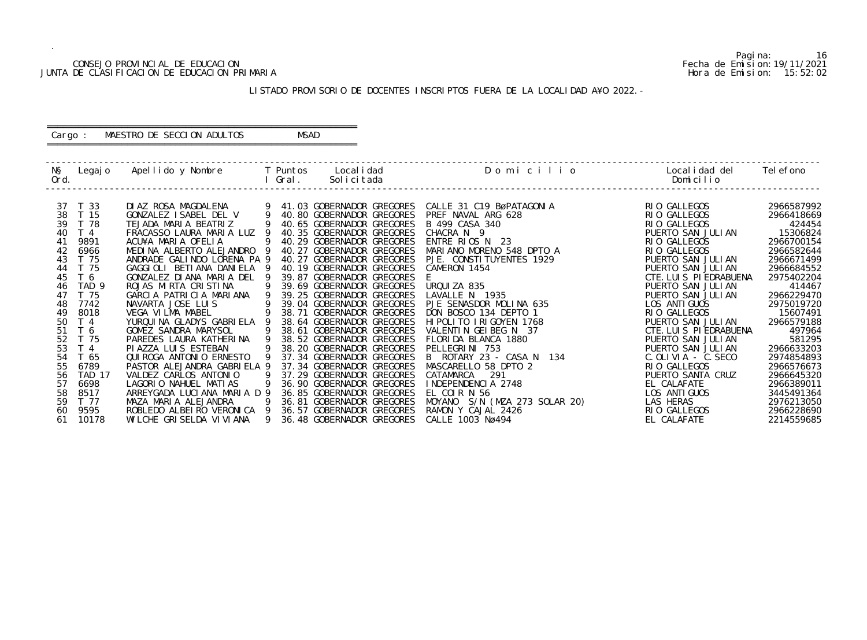# CONSEJO PROVINCIAL DE EDUCACION (CONSEJO PROVINCIAL DE EDUCACION FECHA DE ENÍMENTA E EN EMISION: 19/11/2021 Fecha de Emision: 19/11/2021<br>DE CLASIFICACION DE EDUCACION PRIMARIA (15:52:02 PHOTA de Emision: 15:52:02 PHOTA de JUNTA DE CLASIFICACION DE EDUCACION PRIMARIA

.

Pagina: 16

| Localidad del Telefono<br>O<br>Domicilio<br>RIO GALLEGOS<br>RI <sub>0</sub><br>GALLEGOS<br>RIO GALLEGOS<br>PUERTO SAN JULIAN<br>RIO GALLEGOS<br>GALLEGOS<br>RI 0<br>PUERTO SAN JULIAN<br>PUERTO SAN JULIAN<br>CTE. LUIS PIEDRABUENA<br>PUERTO SAN JULIAN<br>PUERTO SAN JULIAN<br>LOS ANTI GUOS<br>2975019720<br><b>GALLEGOS</b><br>RI 0<br>PUERTO SAN JULIAN<br>CTE. LUIS PIEDRABUENA<br>PUERTO SAN JULIAN<br>PUERTO SAN JULIAN<br>C. OLIVIA - C. SECO<br>RIO GALLEGOS<br>PUERTO SANTA CRUZ<br>EL CALAFATE<br>LOS.<br><b>ANTI GUOS</b><br>20)<br>LAS HERAS<br><b>GALLEGOS</b><br>RI 0 |  |                                                                                                                                                                          |
|---------------------------------------------------------------------------------------------------------------------------------------------------------------------------------------------------------------------------------------------------------------------------------------------------------------------------------------------------------------------------------------------------------------------------------------------------------------------------------------------------------------------------------------------------------------------------------------|--|--------------------------------------------------------------------------------------------------------------------------------------------------------------------------|
|                                                                                                                                                                                                                                                                                                                                                                                                                                                                                                                                                                                       |  |                                                                                                                                                                          |
|                                                                                                                                                                                                                                                                                                                                                                                                                                                                                                                                                                                       |  | 2966587992<br>2966418669<br>424454<br>15306824<br>2966700154<br>2966582644<br>2966671499<br>2966684552<br>2975402204<br>414467<br>2966229470                             |
| EL CALAFATE                                                                                                                                                                                                                                                                                                                                                                                                                                                                                                                                                                           |  | 15607491<br>2966579188<br>497964<br>581295<br>2966633203<br>2974854893<br>2966576673<br>2966645320<br>2966389011<br>3445491364<br>2976213050<br>2966228690<br>2214559685 |

### LISTADO PROVISORIO DE DOCENTES INSCRIPTOS FUERA DE LA LOCALIDAD A¥O 2022.-

 ------------------------------------------------------------------------------------------------------------------------------------------------- N§ Legajo Apellido y Nombre T Puntos Localidad Domicili Ord. I Gral. Solicitada Domicilio ------------------------------------------------------------------------------------------------------------------------------------------------- 37 T 33 DIAZ ROSA MAGDALENA 9 41.03 GOBERNADOR GREGORES CALLE 31 C19 BøPATAGONIA RIO GALLEGOS 2966587992 38 T 15 GONZALEZ ISABEL DEL V 9 40.80 GOBERNADOR GREGORES PREF NAVAL ARG 628 RIO GALLEGOS 2966418669 39 T 78 TEJADA MARIA BEATRIZ 9 40.65 GOBERNADOR GREGORES B 499 CASA 340 RIO GALLEGOS 424454 40 T 4 FRACASSO LAURA MARIA LUZ 9 40.35 GOBERNADOR GREGORES CHACRA N 9<br>41 9891 ACU¥A MARIA OFELIA 9 40.29 GOBERNADOR GREGORES ENTRE RIOS N 23 41 9891 ACU¥A MARIA OFELIA 9 40.29 GOBERNADOR GREGORES ENTRE RIOS N 23 RIO GALLEGOS 2966700154 42 6966 MEDINA ALBERTO ALEJANDRO 9 40.27 GOBERNADOR GREGORES MARIANO MORENO 548 DPTO A RIO GALLEGOS 2966582644 43 T 75 ANDRADE GALINDO LORENA PA 9 40.27 GOBERNADOR GREGORES PJE. CONSTITUYENTES 1929<br>44 T 75 GAGGIOLI BETIANA DANIELA 9 40.19 GOBERNADOR GREGORES CAMERON 1454 44 T 75 GAGGIOLI BETIANA DANIELA 9 40.19 GOBERNADOR GREGORES CAMERON 1454 PUERTO SAN JULIAN 2966684552 45 T 6 GONZALEZ DIANA MARIA DEL 9 39.87 GOBERNADOR GREGORES E CTE.LUIS PIEDRABUENA 2975402204 46 TAD 9 ROJAS MIRTA CRISTINA 939.69 GOBERNADOR GREGORES URQUIZA 835 PUERTO SAN JULIAN 414467 47 T 75 GARCIA PATRICIA MARIANA 9 39.25 GOBERNADOR GREGORES LAVALLE N 1935 PUERTO SAN JULIAN 2966229470 48 7742 NAVARTA JOSE LUIS 9 39.04 GOBERNADOR GREGORES PJE SENASDOR MOLINA 635 LOS ANTIGUOS 2975019720 49 8018 VEGA VILMA MABEL 9 38.71 GOBERNADOR GREGORES DON BOSCO 134 DEPTO 1 RIO GALLEGOS 15607491 50 T 4 YURQUINA GLADYS GABRIELA 9 38.64 GOBERNADOR GREGORES HIPOLITO IRIGOYEN 1768 PUERTO SAN JULIAN 2966579188 51 T 6 GOMEZ SANDRA MARYSOL 9 38.61 GOBERNADOR GREGORES VALENTIN GEIBEG N 37 CTE.LUIS PIEDRABUENA 497964 52 T 75 PAREDES LAURA KATHERINA 9 38.52 GOBERNADOR GREGORES FLORIDA BLANCA 1880 PUERTO SAN JULIAN 581295 53 T 4 PIAZZA LUIS ESTEBAN 9 38.20 GOBERNADOR GREGORES PELLEGRINI 753 PUERTO SAN JULIAN 2966633203 54 T 65 QUIROGA ANTONIO ERNESTO 9 37.34 GOBERNADOR GREGORES B ROTARY 23 - CASA N 134 C.OLIVIA - C.SECO 2974854893 55 6789 PASTOR ALEJANDRA GABRIELA 9 37.34 GOBERNADOR GREGORES MASCARELLO 58 DPTO 2 RIO GALLEGOS 2966576673 56 TAD 17 VALDEZ CARLOS ANTONIO 9 37.29 GOBERNADOR GREGORES CATAMARCA 291 PUERTO SANTA CRUZ 2966645320 57 6698 LAGORIO NAHUEL MATIAS 9 36.90 GOBERNADOR GREGORES INDEPENDENCIA 2748 EL CALAFATE 2966389011 58 8517 ARREYGADA LUCIANA MARIA D 9 36.85 GOBERNADOR GREGORES EL COIR N 56 LOS ANTIGUOS 3445491364 59 T 77 MAZA MARIA ALEJANDRA 9 36.81 GOBERNADOR GREGORES MOYANO S/N (MZA 273 SOLAR 20) LAS HERAS 2976213050 60 9595 ROBLEDO ALBEIRO VERONICA 9 36.57 GOBERNADOR GREGORES RAMON Y CAJAL 2426 RIO GALLEGOS ROBLEGOS 2966228690 61 10178 WILCHE GRISELDA VIVIANA 9 36.48 GOBERNADOR GREGORES CALLE 1003 Nø494

### ========================================================== Cargo : MAESTRO DE SECCION ADULTOS MSAD ==========================================================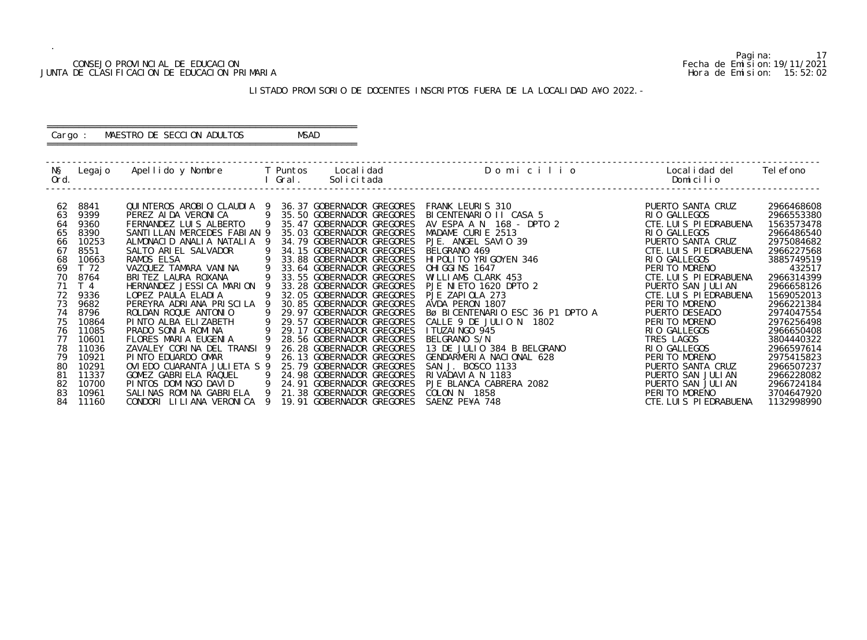# CONSEJO PROVINCIAL DE EDUCACION Fecha de Emision:19/11/2021<br>DE CLASIFICACION DE EDUCACION PRIMARIA FECHA DE SOLO 2021 FOR SION: 15:52:02 JUNTA DE CLASIFICACION DE EDUCACION PRIMARIA

.

### LISTADO PROVISORIO DE DOCENTES INSCRIPTOS FUERA DE LA LOCALIDAD A¥O 2022.-

### ========================================================== Cargo : MAESTRO DE SECCION ADULTOS MSAD ==========================================================

 ------------------------------------------------------------------------------------------------------------------------------------------------- N§ Legajo Apellido y Nombre T Puntos Localidad D o m i c i l i o Localidad del Telefono Ord. I Gral. Solicitada Domicilio ------------------------------------------------------------------------------------------------------------------------------------------------- 62 8841 QUINTEROS AROBIO CLAUDIA 9 36.37 GOBERNADOR GREGORES FRANK LEURIS 310 PUERTO SANTA CRUZ 2966468608 63 9399 PEREZ AIDA VERONICA 9 35.50 GOBERNADOR GREGORES BICENTENARIO II CASA 5 RIO GALLEGOS 2966553380 64 9360 FERNANDEZ LUIS ALBERTO 9 35.47 GOBERNADOR GREGORES AV ESPA A N 168 - DPTO 2 CTE.LUIS PIEDRABUENA 1563573478 65 8390 SANTILLAN MERCEDES FABIAN 9 35.03 GOBERNADOR GREGORES MADAME CURIE 2513 RIO GALLEGOS 2966486540 66 10253 ALMONACID ANALIA NATALIA 9 34.79 GOBERNADOR GREGORES PJE. ANGEL SAVIO 39<br>67 8551 SALTO ARIEL SALVADOR 9 34.15 GOBERNADOR GREGORES BELGRANO 469 67 8551 SALTO ARIEL SALVADOR 9 34.15 GOBERNADOR GREGORES BELGRANO 469 CTE.LUIS PIEDRABUENA 2966227568 68 10663 RAMOS ELSA 9 33.88 GOBERNADOR GREGORES HIPOLITO YRIGOYEN 346 RIO GALLEGOS 3885749519 69 T 72 VAZQUEZ TAMARA VANINA 9 33.64 GOBERNADOR GREGORES OHIGGINS 1647 PERITO MORENO 432517 70 8764 BRITEZ LAURA ROXANA 9 33.55 GOBERNADOR GREGORES WILLIAMS CLARK 453 CTE.LUIS PIEDRABUENA 2966314399 71 T 4 HERNANDEZ JESSICA MARION 9 33.28 GOBERNADOR GREGORES PJE NIETO 1620 DPTO 2 PUERTO SAN JULIAN 2966658126 72 9336 LOPEZ PAULA ELADIA 9 32.05 GOBERNADOR GREGORES PJE ZAPIOLA 273 CTE.LUIS PIEDRABUENA 1569052013 73 9682 PEREYRA ADRIANA PRISCILA 9 30.85 GOBERNADOR GREGORES AVDA PERON 1807 PERITO MORENO 2966221384 74 8796 ROLDAN ROQUE ANTONIO 9 29.97 GOBERNADOR GREGORES Bø BICENTENARIO ESC 36 P1 DPTO A PUERTO DESEADO 2974047554 75 10864 PINTO ALBA ELIZABETH 9 29.57 GOBERNADOR GREGORES CALLE 9 DE JULIO N 1802 PERITO MORENO 2976256498 76 11085 PRADO SONIA ROMINA 9 29.17 GOBERNADOR GREGORES ITUZAINGO 945 RIO GALLEGOS 2966650408 77 10601 FLORES MARIA EUGENIA 9 28.56 GOBERNADOR GREGORES BELGRANO S/N TRES LAGOS 3804440322 78 11036 ZAVALEY CORINA DEL TRANSI 9 26.28 GOBERNADOR GREGORES 13 DE JULIO 384 B BELGRANO RIO GALLEGOS 2966597614 79 10921 PINTO EDUARDO OMAR 9 26.13 GOBERNADOR GREGORES GENDARMERIA NACIONAL 628 PERITO MORENO 2975415823 80 10291 OVIEDO CUARANTA JULIETA S 9 25.79 GOBERNADOR GREGORES SAN J. BOSCO 1133 PUERTO SANTA CRUZ 2966507237 81 11337 GOMEZ GABRIELA RAQUEL 9 24.98 GOBERNADOR GREGORES RIVADAVIA N 1183 PUERTO SAN JULIAN 2966228082 82 10700 PINTOS DOMINGO DAVID 9 24.91 GOBERNADOR GREGORES PJE BLANCA CABRERA 2082 PUERTO SAN JULIAN 2966724184 83 10961 SALINAS ROMINA GABRIELA 9 21.38 GOBERNADOR GREGORES COLON N 1858 PERITO MORENO 3704647920 84 11160 CONDORI LILIANA VERONICA 9 19.91 GOBERNADOR GREGORES SAENZ PE¥A 748 CTE.LUIS PIEDRABUENA 1132998990

Pagina: 17<br>Fecha de Emision: 19/11/2021

| Ó     | Localidad del Telefono<br>Domicilio                                                                                                                                                                                                                                                                                                                                                                                                                                   |                                                                                                                                                                                                                                                                                                                            |
|-------|-----------------------------------------------------------------------------------------------------------------------------------------------------------------------------------------------------------------------------------------------------------------------------------------------------------------------------------------------------------------------------------------------------------------------------------------------------------------------|----------------------------------------------------------------------------------------------------------------------------------------------------------------------------------------------------------------------------------------------------------------------------------------------------------------------------|
| PTO A | PUERTO SANTA CRUZ<br>RIO GALLEGOS<br>CTE. LUIS PIEDRABUENA<br>RIO GALLEGOS<br>PUERTO SANTA CRUZ<br>CTE. LUIS PIEDRABUENA<br>RIO GALLEGOS<br>PERITO MORENO<br>CTE. LUIS PIEDRABUENA<br>PUERTO SAN JULIAN<br>CTE. LUIS PIEDRABUENA<br>PERITO MORENO<br>PUERTO DESEADO<br>PERITO MORENO<br>RIO GALLEGOS<br>TRES LAGOS<br>GALLEGOS<br>RI 0.<br>MORENO<br>PFRI TO<br>PUERTO SANTA CRUZ<br>PUERTO SAN JULIAN<br>PUERTO SAN JULIAN<br>PERITO MORENO<br>CTE. LUIS PIEDRABUENA | 2966468608<br>2966553380<br>1563573478<br>2966486540<br>2975084682<br>2966227568<br>3885749519<br>432517<br>2966314399<br>2966658126<br>1569052013<br>2966221384<br>2974047554<br>2976256498<br>2966650408<br>3804440322<br>2966597614<br>2975415823<br>2966507237<br>2966228082<br>2966724184<br>3704647920<br>1132998990 |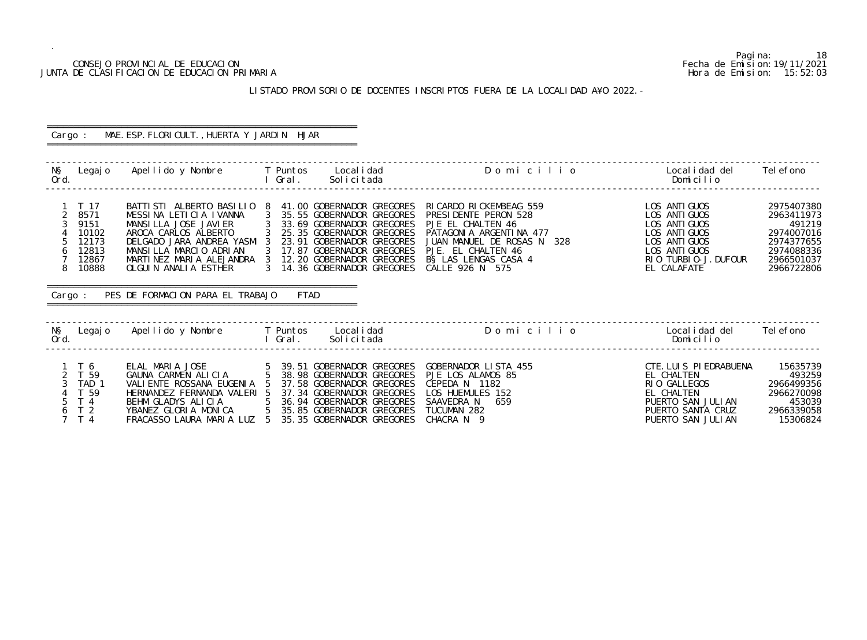## CONSEJO PROVINCIAL DE EDUCACION Fecha de Emision:19/11/2021 JUNTA DE CLASIFICACION DE EDUCACION PRIMARIA Hora de Emision: 15:52:03

# LISTADO PROVISORIO DE DOCENTES INSCRIPTOS FUERA DE LA LOCALIDAD A¥O 2022.-

| Cargo :                                         |                                                                                  | MAE. ESP. FLORICULT., HUERTA Y JARDIN HJAR                                                                                                                                                                                                                                                                                                                                                       |                                                                                                                          |                                                                                                                                                                                               |                                                                                                                                           |                                                                                                          |
|-------------------------------------------------|----------------------------------------------------------------------------------|--------------------------------------------------------------------------------------------------------------------------------------------------------------------------------------------------------------------------------------------------------------------------------------------------------------------------------------------------------------------------------------------------|--------------------------------------------------------------------------------------------------------------------------|-----------------------------------------------------------------------------------------------------------------------------------------------------------------------------------------------|-------------------------------------------------------------------------------------------------------------------------------------------|----------------------------------------------------------------------------------------------------------|
| Ord.                                            |                                                                                  | N§ Legajo Apellido y Nombre T Puntos Localidad                                                                                                                                                                                                                                                                                                                                                   | l Gral.<br>Solicitada                                                                                                    | Domicilio                                                                                                                                                                                     | Local i dad del<br>Domicilio                                                                                                              | Tel efono                                                                                                |
| $\overline{2}$<br>$\mathfrak{Z}$<br>5<br>6<br>8 | $1$ T 17<br>8571<br>9151<br>10102<br>12173<br>12813<br>12867<br>10888<br>Cargo : | BATTI STI ALBERTO BASILIO 8<br>MESSINA LETICIA IVANNA 3 35.55 GOBERNADOR GREGORES<br>MANSILLA JOSE JAVIER 3 33.69 GOBERNADOR GREGORES<br>AROCA CARLOS ALBERTO 3 25.35 GOBERNADOR GREGORES<br>DELGADO JARA ANDREA YASMI 3 23.91 GOBERNADOR GREGORES<br>MANSILLA MARCIO ADRIAN<br>MARTINEZ MARIA ALEJANDRA 3 12.20 GOBERNADOR GREGORES<br>OLGUIN ANALIA ESTHER<br>PES DE FORMACION PARA EL TRABAJO | 41.00 GOBERNADOR GREGORES<br>3 17.87 GOBERNADOR GREGORES<br>3 14.36 GOBERNADOR GREGORES<br>FTAD                          | RICARDO RICKEMBEAG 559<br>PRESIDENTE PERON 528<br>PJE EL CHALTEN 46<br>PATAGONIA ARGENTINA 477<br>JUAN MANUEL DE ROSAS N 328<br>PJE. EL CHALTEN 46<br>B§ LAS LENGAS CASA 4<br>CALLE 926 N 575 | LOS ANTI GUOS<br>LOS ANTI GUOS<br>LOS ANTI GUOS<br>LOS ANTI GUOS<br>LOS ANTI GUOS<br>LOS ANTI GUOS<br>RIO TURBIO-J. DUFOUR<br>EL CALAFATE | 2975407380<br>2963411973<br>491219<br>2974007016<br>2974377655<br>2974088336<br>2966501037<br>2966722806 |
| Ord.                                            |                                                                                  | NS Legajo Apellido y Nombre T Puntos Localidad                                                                                                                                                                                                                                                                                                                                                   | l Gral.<br>Solicitada                                                                                                    | Domicilio                                                                                                                                                                                     | Localidad del<br>Domicilio                                                                                                                | Tel efono                                                                                                |
|                                                 | 1T6<br>2 T 59<br>3 TAD 1<br>T 59<br>5 T 4<br>6 T 2<br>$7$ T 4                    | ELAL MARIA JOSE<br>GAUNA CARMEN ALICIA<br>VALIENTE ROSSANA EUGENIA 5<br>HERNANDEZ FERNANDA VALERI 5<br>BEHM GLADYS ALICIA 5 36.94 GOBERNADOR GREGORES<br>YBANEZ GLORIA MONICA 5 35.85 GOBERNADOR GREGORES<br>FRACASSO LAURA MARIA LUZ 5 35.35 GOBERNADOR GREGORES                                                                                                                                | 5 39.51 GOBERNADOR GREGORES<br>CIA 5 38.98 GOBERNADOR GREGORES<br>37.58 GOBERNADOR GREGORES<br>37.34 GOBERNADOR GREGORES | GOBERNADOR LISTA 455<br>PJE LOS ALAMOS 85<br>CEPEDA N 1182<br>LOS HUEMULES 152<br>SAAVEDRA N<br>659<br>TUCUMAN 282<br>CHACRA N 9                                                              | CTE. LUIS PIEDRABUENA<br>EL CHALTEN<br>RIO GALLEGOS<br>EL CHALTEN<br>PUERTO SAN JULIAN<br>PUERTO SANTA CRUZ<br>PUERTO SAN JULIAN          | 15635739<br>493259<br>2966499356<br>2966270098<br>453039<br>2966339058<br>15306824                       |

Pagina: 18<br>Fecha de Emision: 19/11/2021<br>Hora de Emision: 15: 52: 03